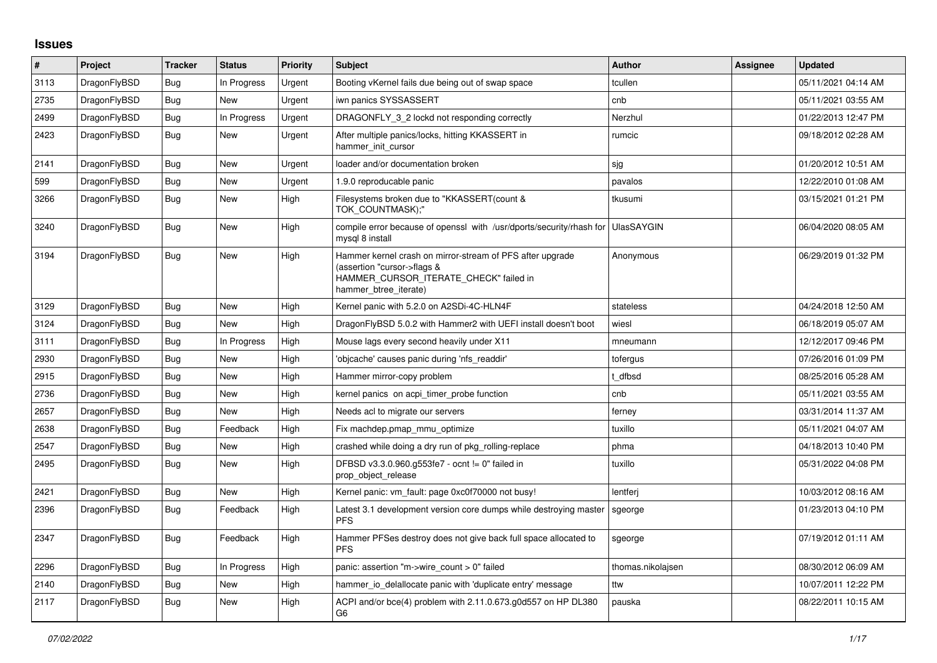## **Issues**

| $\vert$ # | Project      | <b>Tracker</b> | <b>Status</b> | <b>Priority</b> | <b>Subject</b>                                                                                                                                              | <b>Author</b>     | Assignee | <b>Updated</b>      |
|-----------|--------------|----------------|---------------|-----------------|-------------------------------------------------------------------------------------------------------------------------------------------------------------|-------------------|----------|---------------------|
| 3113      | DragonFlyBSD | <b>Bug</b>     | In Progress   | Urgent          | Booting vKernel fails due being out of swap space                                                                                                           | tcullen           |          | 05/11/2021 04:14 AM |
| 2735      | DragonFlyBSD | Bug            | <b>New</b>    | Urgent          | iwn panics SYSSASSERT                                                                                                                                       | cnb               |          | 05/11/2021 03:55 AM |
| 2499      | DragonFlyBSD | Bug            | In Progress   | Urgent          | DRAGONFLY 3 2 lockd not responding correctly                                                                                                                | Nerzhul           |          | 01/22/2013 12:47 PM |
| 2423      | DragonFlyBSD | Bug            | <b>New</b>    | Urgent          | After multiple panics/locks, hitting KKASSERT in<br>hammer_init_cursor                                                                                      | rumcic            |          | 09/18/2012 02:28 AM |
| 2141      | DragonFlyBSD | Bug            | <b>New</b>    | Urgent          | loader and/or documentation broken                                                                                                                          | sjg               |          | 01/20/2012 10:51 AM |
| 599       | DragonFlyBSD | Bug            | <b>New</b>    | Urgent          | 1.9.0 reproducable panic                                                                                                                                    | pavalos           |          | 12/22/2010 01:08 AM |
| 3266      | DragonFlyBSD | Bug            | New           | High            | Filesystems broken due to "KKASSERT(count &<br>TOK COUNTMASK);"                                                                                             | tkusumi           |          | 03/15/2021 01:21 PM |
| 3240      | DragonFlyBSD | <b>Bug</b>     | New           | High            | compile error because of openssl with /usr/dports/security/rhash for<br>mysql 8 install                                                                     | <b>UlasSAYGIN</b> |          | 06/04/2020 08:05 AM |
| 3194      | DragonFlyBSD | Bug            | <b>New</b>    | High            | Hammer kernel crash on mirror-stream of PFS after upgrade<br>(assertion "cursor->flags &<br>HAMMER_CURSOR_ITERATE_CHECK" failed in<br>hammer btree iterate) | Anonymous         |          | 06/29/2019 01:32 PM |
| 3129      | DragonFlyBSD | <b>Bug</b>     | New           | High            | Kernel panic with 5.2.0 on A2SDi-4C-HLN4F                                                                                                                   | stateless         |          | 04/24/2018 12:50 AM |
| 3124      | DragonFlyBSD | Bug            | <b>New</b>    | High            | DragonFlyBSD 5.0.2 with Hammer2 with UEFI install doesn't boot                                                                                              | wiesl             |          | 06/18/2019 05:07 AM |
| 3111      | DragonFlyBSD | Bug            | In Progress   | High            | Mouse lags every second heavily under X11                                                                                                                   | mneumann          |          | 12/12/2017 09:46 PM |
| 2930      | DragonFlyBSD | <b>Bug</b>     | <b>New</b>    | High            | 'objcache' causes panic during 'nfs_readdir'                                                                                                                | tofergus          |          | 07/26/2016 01:09 PM |
| 2915      | DragonFlyBSD | <b>Bug</b>     | New           | High            | Hammer mirror-copy problem                                                                                                                                  | t dfbsd           |          | 08/25/2016 05:28 AM |
| 2736      | DragonFlyBSD | Bug            | New           | High            | kernel panics on acpi timer probe function                                                                                                                  | cnb               |          | 05/11/2021 03:55 AM |
| 2657      | DragonFlyBSD | Bug            | <b>New</b>    | High            | Needs acl to migrate our servers                                                                                                                            | ferney            |          | 03/31/2014 11:37 AM |
| 2638      | DragonFlyBSD | Bug            | Feedback      | High            | Fix machdep.pmap_mmu_optimize                                                                                                                               | tuxillo           |          | 05/11/2021 04:07 AM |
| 2547      | DragonFlyBSD | Bug            | New           | High            | crashed while doing a dry run of pkg rolling-replace                                                                                                        | phma              |          | 04/18/2013 10:40 PM |
| 2495      | DragonFlyBSD | Bug            | New           | High            | DFBSD v3.3.0.960.g553fe7 - ocnt != 0" failed in<br>prop_object_release                                                                                      | tuxillo           |          | 05/31/2022 04:08 PM |
| 2421      | DragonFlyBSD | <b>Bug</b>     | <b>New</b>    | High            | Kernel panic: vm_fault: page 0xc0f70000 not busy!                                                                                                           | lentferj          |          | 10/03/2012 08:16 AM |
| 2396      | DragonFlyBSD | Bug            | Feedback      | High            | Latest 3.1 development version core dumps while destroying master<br><b>PFS</b>                                                                             | sgeorge           |          | 01/23/2013 04:10 PM |
| 2347      | DragonFlyBSD | Bug            | Feedback      | High            | Hammer PFSes destroy does not give back full space allocated to<br><b>PFS</b>                                                                               | sgeorge           |          | 07/19/2012 01:11 AM |
| 2296      | DragonFlyBSD | Bug            | In Progress   | High            | panic: assertion "m->wire count > 0" failed                                                                                                                 | thomas.nikolajsen |          | 08/30/2012 06:09 AM |
| 2140      | DragonFlyBSD | Bug            | New           | High            | hammer io delallocate panic with 'duplicate entry' message                                                                                                  | ttw               |          | 10/07/2011 12:22 PM |
| 2117      | DragonFlyBSD | Bug            | New           | High            | ACPI and/or bce(4) problem with 2.11.0.673.g0d557 on HP DL380<br>G <sub>6</sub>                                                                             | pauska            |          | 08/22/2011 10:15 AM |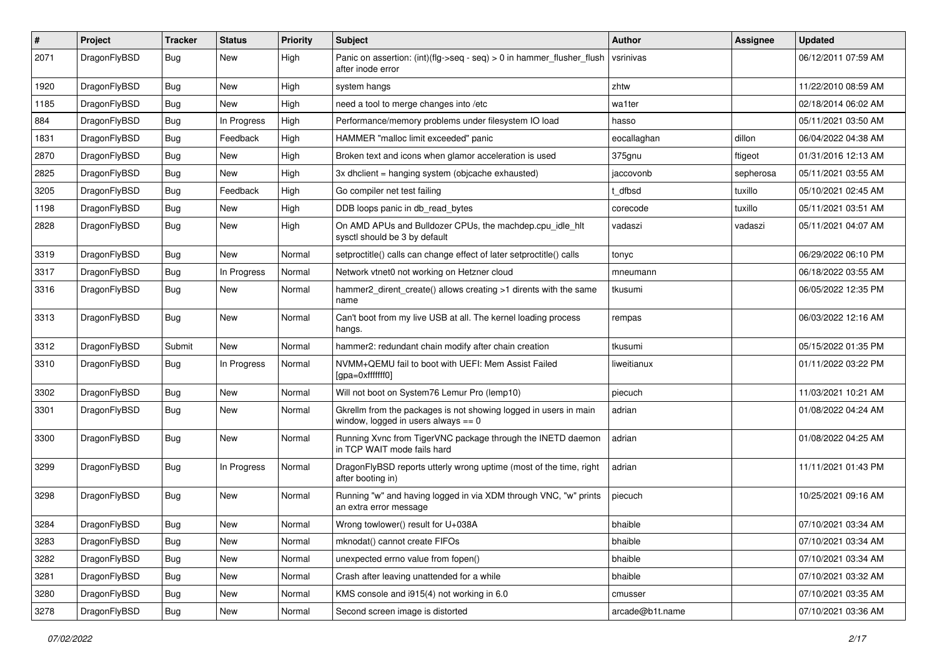| $\sharp$ | Project      | <b>Tracker</b> | <b>Status</b> | <b>Priority</b> | Subject                                                                                                   | Author          | Assignee  | <b>Updated</b>      |
|----------|--------------|----------------|---------------|-----------------|-----------------------------------------------------------------------------------------------------------|-----------------|-----------|---------------------|
| 2071     | DragonFlyBSD | Bug            | <b>New</b>    | High            | Panic on assertion: $(int)(flag->seq - seq) > 0$ in hammer flusher flush<br>after inode error             | vsrinivas       |           | 06/12/2011 07:59 AM |
| 1920     | DragonFlyBSD | Bug            | <b>New</b>    | High            | system hangs                                                                                              | zhtw            |           | 11/22/2010 08:59 AM |
| 1185     | DragonFlyBSD | <b>Bug</b>     | New           | High            | need a tool to merge changes into /etc                                                                    | wa1ter          |           | 02/18/2014 06:02 AM |
| 884      | DragonFlyBSD | Bug            | In Progress   | High            | Performance/memory problems under filesystem IO load                                                      | hasso           |           | 05/11/2021 03:50 AM |
| 1831     | DragonFlyBSD | <b>Bug</b>     | Feedback      | High            | HAMMER "malloc limit exceeded" panic                                                                      | eocallaghan     | dillon    | 06/04/2022 04:38 AM |
| 2870     | DragonFlyBSD | <b>Bug</b>     | <b>New</b>    | High            | Broken text and icons when glamor acceleration is used                                                    | 375gnu          | ftigeot   | 01/31/2016 12:13 AM |
| 2825     | DragonFlyBSD | <b>Bug</b>     | New           | High            | 3x dhclient = hanging system (objcache exhausted)                                                         | jaccovonb       | sepherosa | 05/11/2021 03:55 AM |
| 3205     | DragonFlyBSD | <b>Bug</b>     | Feedback      | High            | Go compiler net test failing                                                                              | t dfbsd         | tuxillo   | 05/10/2021 02:45 AM |
| 1198     | DragonFlyBSD | Bug            | <b>New</b>    | High            | DDB loops panic in db_read_bytes                                                                          | corecode        | tuxillo   | 05/11/2021 03:51 AM |
| 2828     | DragonFlyBSD | <b>Bug</b>     | <b>New</b>    | High            | On AMD APUs and Bulldozer CPUs, the machdep.cpu_idle_hlt<br>sysctl should be 3 by default                 | vadaszi         | vadaszi   | 05/11/2021 04:07 AM |
| 3319     | DragonFlyBSD | <b>Bug</b>     | <b>New</b>    | Normal          | setproctitle() calls can change effect of later setproctitle() calls                                      | tonyc           |           | 06/29/2022 06:10 PM |
| 3317     | DragonFlyBSD | <b>Bug</b>     | In Progress   | Normal          | Network vtnet0 not working on Hetzner cloud                                                               | mneumann        |           | 06/18/2022 03:55 AM |
| 3316     | DragonFlyBSD | <b>Bug</b>     | <b>New</b>    | Normal          | hammer2_dirent_create() allows creating >1 dirents with the same<br>name                                  | tkusumi         |           | 06/05/2022 12:35 PM |
| 3313     | DragonFlyBSD | Bug            | <b>New</b>    | Normal          | Can't boot from my live USB at all. The kernel loading process<br>hangs.                                  | rempas          |           | 06/03/2022 12:16 AM |
| 3312     | DragonFlyBSD | Submit         | <b>New</b>    | Normal          | hammer2: redundant chain modify after chain creation                                                      | tkusumi         |           | 05/15/2022 01:35 PM |
| 3310     | DragonFlyBSD | Bug            | In Progress   | Normal          | NVMM+QEMU fail to boot with UEFI: Mem Assist Failed<br>[gpa=0xfffffff0]                                   | liweitianux     |           | 01/11/2022 03:22 PM |
| 3302     | DragonFlyBSD | Bug            | New           | Normal          | Will not boot on System76 Lemur Pro (lemp10)                                                              | piecuch         |           | 11/03/2021 10:21 AM |
| 3301     | DragonFlyBSD | Bug            | New           | Normal          | Gkrellm from the packages is not showing logged in users in main<br>window, logged in users always $== 0$ | adrian          |           | 01/08/2022 04:24 AM |
| 3300     | DragonFlyBSD | Bug            | <b>New</b>    | Normal          | Running Xvnc from TigerVNC package through the INETD daemon<br>in TCP WAIT mode fails hard                | adrian          |           | 01/08/2022 04:25 AM |
| 3299     | DragonFlyBSD | Bug            | In Progress   | Normal          | DragonFlyBSD reports utterly wrong uptime (most of the time, right<br>after booting in)                   | adrian          |           | 11/11/2021 01:43 PM |
| 3298     | DragonFlyBSD | <b>Bug</b>     | New           | Normal          | Running "w" and having logged in via XDM through VNC, "w" prints<br>an extra error message                | piecuch         |           | 10/25/2021 09:16 AM |
| 3284     | DragonFlyBSD | Bug            | <b>New</b>    | Normal          | Wrong towlower() result for U+038A                                                                        | bhaible         |           | 07/10/2021 03:34 AM |
| 3283     | DragonFlyBSD | <b>Bug</b>     | New           | Normal          | mknodat() cannot create FIFOs                                                                             | bhaible         |           | 07/10/2021 03:34 AM |
| 3282     | DragonFlyBSD | Bug            | New           | Normal          | unexpected errno value from fopen()                                                                       | bhaible         |           | 07/10/2021 03:34 AM |
| 3281     | DragonFlyBSD | <b>Bug</b>     | New           | Normal          | Crash after leaving unattended for a while                                                                | bhaible         |           | 07/10/2021 03:32 AM |
| 3280     | DragonFlyBSD | <b>Bug</b>     | New           | Normal          | KMS console and i915(4) not working in 6.0                                                                | cmusser         |           | 07/10/2021 03:35 AM |
| 3278     | DragonFlyBSD | <b>Bug</b>     | New           | Normal          | Second screen image is distorted                                                                          | arcade@b1t.name |           | 07/10/2021 03:36 AM |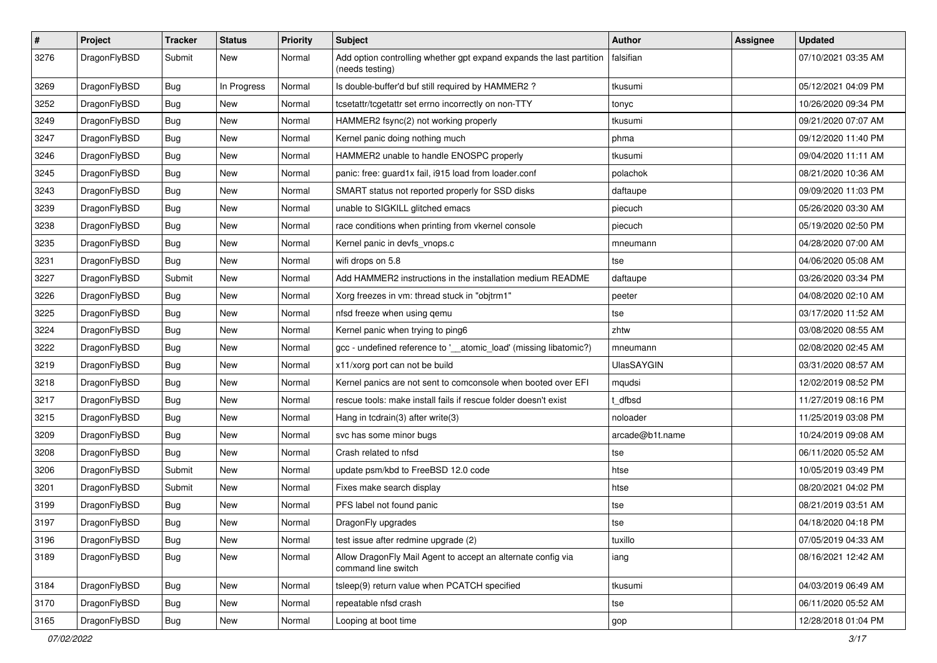| $\sharp$ | Project      | <b>Tracker</b> | <b>Status</b> | <b>Priority</b> | Subject                                                                                 | Author            | Assignee | <b>Updated</b>      |
|----------|--------------|----------------|---------------|-----------------|-----------------------------------------------------------------------------------------|-------------------|----------|---------------------|
| 3276     | DragonFlyBSD | Submit         | New           | Normal          | Add option controlling whether gpt expand expands the last partition<br>(needs testing) | falsifian         |          | 07/10/2021 03:35 AM |
| 3269     | DragonFlyBSD | Bug            | In Progress   | Normal          | Is double-buffer'd buf still required by HAMMER2?                                       | tkusumi           |          | 05/12/2021 04:09 PM |
| 3252     | DragonFlyBSD | <b>Bug</b>     | <b>New</b>    | Normal          | tcsetattr/tcgetattr set errno incorrectly on non-TTY                                    | tonyc             |          | 10/26/2020 09:34 PM |
| 3249     | DragonFlyBSD | Bug            | <b>New</b>    | Normal          | HAMMER2 fsync(2) not working properly                                                   | tkusumi           |          | 09/21/2020 07:07 AM |
| 3247     | DragonFlyBSD | <b>Bug</b>     | New           | Normal          | Kernel panic doing nothing much                                                         | phma              |          | 09/12/2020 11:40 PM |
| 3246     | DragonFlyBSD | Bug            | New           | Normal          | HAMMER2 unable to handle ENOSPC properly                                                | tkusumi           |          | 09/04/2020 11:11 AM |
| 3245     | DragonFlyBSD | <b>Bug</b>     | New           | Normal          | panic: free: guard1x fail, i915 load from loader.conf                                   | polachok          |          | 08/21/2020 10:36 AM |
| 3243     | DragonFlyBSD | <b>Bug</b>     | New           | Normal          | SMART status not reported properly for SSD disks                                        | daftaupe          |          | 09/09/2020 11:03 PM |
| 3239     | DragonFlyBSD | <b>Bug</b>     | <b>New</b>    | Normal          | unable to SIGKILL glitched emacs                                                        | piecuch           |          | 05/26/2020 03:30 AM |
| 3238     | DragonFlyBSD | <b>Bug</b>     | New           | Normal          | race conditions when printing from vkernel console                                      | piecuch           |          | 05/19/2020 02:50 PM |
| 3235     | DragonFlyBSD | <b>Bug</b>     | New           | Normal          | Kernel panic in devfs_vnops.c                                                           | mneumann          |          | 04/28/2020 07:00 AM |
| 3231     | DragonFlyBSD | Bug            | <b>New</b>    | Normal          | wifi drops on 5.8                                                                       | tse               |          | 04/06/2020 05:08 AM |
| 3227     | DragonFlyBSD | Submit         | New           | Normal          | Add HAMMER2 instructions in the installation medium README                              | daftaupe          |          | 03/26/2020 03:34 PM |
| 3226     | DragonFlyBSD | Bug            | <b>New</b>    | Normal          | Xorg freezes in vm: thread stuck in "objtrm1"                                           | peeter            |          | 04/08/2020 02:10 AM |
| 3225     | DragonFlyBSD | Bug            | New           | Normal          | nfsd freeze when using gemu                                                             | tse               |          | 03/17/2020 11:52 AM |
| 3224     | DragonFlyBSD | <b>Bug</b>     | New           | Normal          | Kernel panic when trying to ping6                                                       | zhtw              |          | 03/08/2020 08:55 AM |
| 3222     | DragonFlyBSD | Bug            | <b>New</b>    | Normal          | gcc - undefined reference to '__atomic_load' (missing libatomic?)                       | mneumann          |          | 02/08/2020 02:45 AM |
| 3219     | DragonFlyBSD | <b>Bug</b>     | New           | Normal          | x11/xorg port can not be build                                                          | <b>UlasSAYGIN</b> |          | 03/31/2020 08:57 AM |
| 3218     | DragonFlyBSD | <b>Bug</b>     | <b>New</b>    | Normal          | Kernel panics are not sent to comconsole when booted over EFI                           | mqudsi            |          | 12/02/2019 08:52 PM |
| 3217     | DragonFlyBSD | <b>Bug</b>     | <b>New</b>    | Normal          | rescue tools: make install fails if rescue folder doesn't exist                         | t dfbsd           |          | 11/27/2019 08:16 PM |
| 3215     | DragonFlyBSD | Bug            | New           | Normal          | Hang in tcdrain(3) after write(3)                                                       | noloader          |          | 11/25/2019 03:08 PM |
| 3209     | DragonFlyBSD | Bug            | <b>New</b>    | Normal          | svc has some minor bugs                                                                 | arcade@b1t.name   |          | 10/24/2019 09:08 AM |
| 3208     | DragonFlyBSD | Bug            | New           | Normal          | Crash related to nfsd                                                                   | tse               |          | 06/11/2020 05:52 AM |
| 3206     | DragonFlyBSD | Submit         | <b>New</b>    | Normal          | update psm/kbd to FreeBSD 12.0 code                                                     | htse              |          | 10/05/2019 03:49 PM |
| 3201     | DragonFlyBSD | Submit         | <b>New</b>    | Normal          | Fixes make search display                                                               | htse              |          | 08/20/2021 04:02 PM |
| 3199     | DragonFlyBSD | <b>Bug</b>     | New           | Normal          | PFS label not found panic                                                               | tse               |          | 08/21/2019 03:51 AM |
| 3197     | DragonFlyBSD | <b>Bug</b>     | New           | Normal          | DragonFly upgrades                                                                      | tse               |          | 04/18/2020 04:18 PM |
| 3196     | DragonFlyBSD | Bug            | New           | Normal          | test issue after redmine upgrade (2)                                                    | tuxillo           |          | 07/05/2019 04:33 AM |
| 3189     | DragonFlyBSD | <b>Bug</b>     | New           | Normal          | Allow DragonFly Mail Agent to accept an alternate config via<br>command line switch     | iang              |          | 08/16/2021 12:42 AM |
| 3184     | DragonFlyBSD | <b>Bug</b>     | New           | Normal          | tsleep(9) return value when PCATCH specified                                            | tkusumi           |          | 04/03/2019 06:49 AM |
| 3170     | DragonFlyBSD | <b>Bug</b>     | New           | Normal          | repeatable nfsd crash                                                                   | tse               |          | 06/11/2020 05:52 AM |
| 3165     | DragonFlyBSD | <b>Bug</b>     | New           | Normal          | Looping at boot time                                                                    | gop               |          | 12/28/2018 01:04 PM |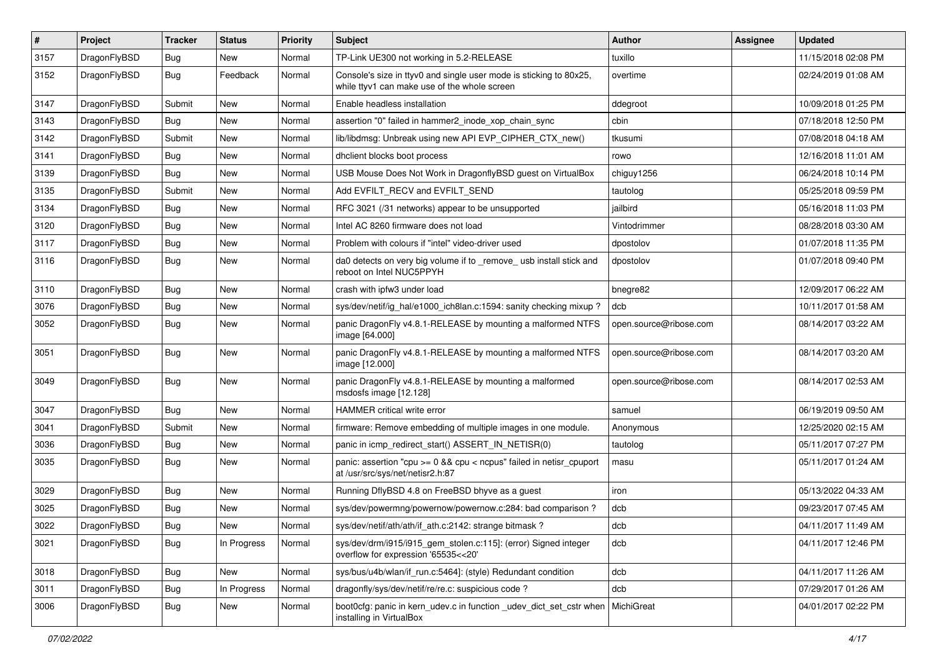| $\sharp$ | Project      | <b>Tracker</b> | <b>Status</b> | <b>Priority</b> | Subject                                                                                                            | Author                 | Assignee | <b>Updated</b>      |
|----------|--------------|----------------|---------------|-----------------|--------------------------------------------------------------------------------------------------------------------|------------------------|----------|---------------------|
| 3157     | DragonFlyBSD | Bug            | New           | Normal          | TP-Link UE300 not working in 5.2-RELEASE                                                                           | tuxillo                |          | 11/15/2018 02:08 PM |
| 3152     | DragonFlyBSD | Bug            | Feedback      | Normal          | Console's size in ttyv0 and single user mode is sticking to 80x25,<br>while ttyv1 can make use of the whole screen | overtime               |          | 02/24/2019 01:08 AM |
| 3147     | DragonFlyBSD | Submit         | New           | Normal          | Enable headless installation                                                                                       | ddegroot               |          | 10/09/2018 01:25 PM |
| 3143     | DragonFlyBSD | Bug            | New           | Normal          | assertion "0" failed in hammer2_inode_xop_chain_sync                                                               | cbin                   |          | 07/18/2018 12:50 PM |
| 3142     | DragonFlyBSD | Submit         | New           | Normal          | lib/libdmsg: Unbreak using new API EVP CIPHER CTX new()                                                            | tkusumi                |          | 07/08/2018 04:18 AM |
| 3141     | DragonFlyBSD | Bug            | New           | Normal          | dhclient blocks boot process                                                                                       | rowo                   |          | 12/16/2018 11:01 AM |
| 3139     | DragonFlyBSD | Bug            | New           | Normal          | USB Mouse Does Not Work in DragonflyBSD guest on VirtualBox                                                        | chiguy1256             |          | 06/24/2018 10:14 PM |
| 3135     | DragonFlyBSD | Submit         | New           | Normal          | Add EVFILT_RECV and EVFILT_SEND                                                                                    | tautolog               |          | 05/25/2018 09:59 PM |
| 3134     | DragonFlyBSD | Bug            | <b>New</b>    | Normal          | RFC 3021 (/31 networks) appear to be unsupported                                                                   | jailbird               |          | 05/16/2018 11:03 PM |
| 3120     | DragonFlyBSD | Bug            | New           | Normal          | Intel AC 8260 firmware does not load                                                                               | Vintodrimmer           |          | 08/28/2018 03:30 AM |
| 3117     | DragonFlyBSD | Bug            | New           | Normal          | Problem with colours if "intel" video-driver used                                                                  | dpostolov              |          | 01/07/2018 11:35 PM |
| 3116     | DragonFlyBSD | Bug            | New           | Normal          | da0 detects on very big volume if to _remove_ usb install stick and<br>reboot on Intel NUC5PPYH                    | dpostolov              |          | 01/07/2018 09:40 PM |
| 3110     | DragonFlyBSD | Bug            | New           | Normal          | crash with ipfw3 under load                                                                                        | bnegre82               |          | 12/09/2017 06:22 AM |
| 3076     | DragonFlyBSD | Bug            | New           | Normal          | sys/dev/netif/ig_hal/e1000_ich8lan.c:1594: sanity checking mixup?                                                  | dcb                    |          | 10/11/2017 01:58 AM |
| 3052     | DragonFlyBSD | Bug            | New           | Normal          | panic DragonFly v4.8.1-RELEASE by mounting a malformed NTFS<br>image [64.000]                                      | open.source@ribose.com |          | 08/14/2017 03:22 AM |
| 3051     | DragonFlyBSD | Bug            | <b>New</b>    | Normal          | panic DragonFly v4.8.1-RELEASE by mounting a malformed NTFS<br>image [12.000]                                      | open.source@ribose.com |          | 08/14/2017 03:20 AM |
| 3049     | DragonFlyBSD | Bug            | New           | Normal          | panic DragonFly v4.8.1-RELEASE by mounting a malformed<br>msdosfs image [12.128]                                   | open.source@ribose.com |          | 08/14/2017 02:53 AM |
| 3047     | DragonFlyBSD | Bug            | <b>New</b>    | Normal          | <b>HAMMER</b> critical write error                                                                                 | samuel                 |          | 06/19/2019 09:50 AM |
| 3041     | DragonFlyBSD | Submit         | New           | Normal          | firmware: Remove embedding of multiple images in one module.                                                       | Anonymous              |          | 12/25/2020 02:15 AM |
| 3036     | DragonFlyBSD | Bug            | New           | Normal          | panic in icmp_redirect_start() ASSERT_IN_NETISR(0)                                                                 | tautolog               |          | 05/11/2017 07:27 PM |
| 3035     | DragonFlyBSD | Bug            | New           | Normal          | panic: assertion "cpu >= 0 && cpu < ncpus" failed in netisr_cpuport<br>at /usr/src/sys/net/netisr2.h:87            | masu                   |          | 05/11/2017 01:24 AM |
| 3029     | DragonFlyBSD | Bug            | New           | Normal          | Running DflyBSD 4.8 on FreeBSD bhyve as a guest                                                                    | iron                   |          | 05/13/2022 04:33 AM |
| 3025     | DragonFlyBSD | Bug            | <b>New</b>    | Normal          | sys/dev/powermng/powernow/powernow.c:284: bad comparison ?                                                         | dcb                    |          | 09/23/2017 07:45 AM |
| 3022     | DragonFlyBSD | Bug            | <b>New</b>    | Normal          | sys/dev/netif/ath/ath/if ath.c:2142: strange bitmask?                                                              | dcb                    |          | 04/11/2017 11:49 AM |
| 3021     | DragonFlyBSD | Bug            | In Progress   | Normal          | sys/dev/drm/i915/i915_gem_stolen.c:115]: (error) Signed integer<br>overflow for expression '65535<<20'             | dcb                    |          | 04/11/2017 12:46 PM |
| 3018     | DragonFlyBSD | <b>Bug</b>     | New           | Normal          | sys/bus/u4b/wlan/if_run.c:5464]: (style) Redundant condition                                                       | dcb                    |          | 04/11/2017 11:26 AM |
| 3011     | DragonFlyBSD | Bug            | In Progress   | Normal          | dragonfly/sys/dev/netif/re/re.c: suspicious code?                                                                  | dcb                    |          | 07/29/2017 01:26 AM |
| 3006     | DragonFlyBSD | <b>Bug</b>     | New           | Normal          | boot0cfg: panic in kern_udev.c in function _udev_dict_set_cstr when<br>installing in VirtualBox                    | MichiGreat             |          | 04/01/2017 02:22 PM |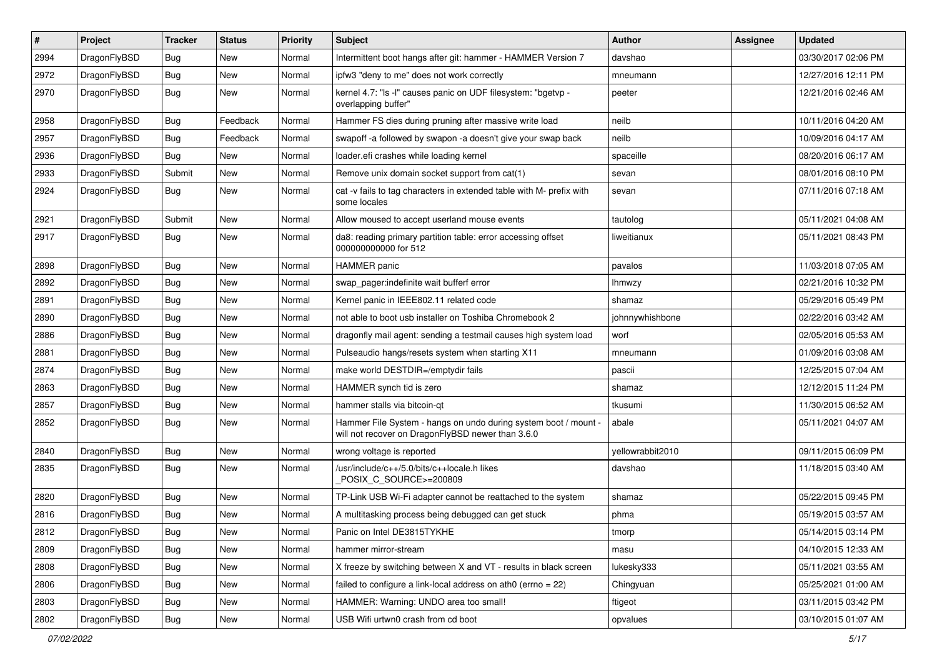| $\vert$ # | Project      | <b>Tracker</b> | <b>Status</b> | <b>Priority</b> | Subject                                                                                                              | <b>Author</b>    | Assignee | <b>Updated</b>      |
|-----------|--------------|----------------|---------------|-----------------|----------------------------------------------------------------------------------------------------------------------|------------------|----------|---------------------|
| 2994      | DragonFlyBSD | Bug            | New           | Normal          | Intermittent boot hangs after git: hammer - HAMMER Version 7                                                         | davshao          |          | 03/30/2017 02:06 PM |
| 2972      | DragonFlyBSD | Bug            | <b>New</b>    | Normal          | ipfw3 "deny to me" does not work correctly                                                                           | mneumann         |          | 12/27/2016 12:11 PM |
| 2970      | DragonFlyBSD | Bug            | <b>New</b>    | Normal          | kernel 4.7: "Is -I" causes panic on UDF filesystem: "bgetvp -<br>overlapping buffer"                                 | peeter           |          | 12/21/2016 02:46 AM |
| 2958      | DragonFlyBSD | Bug            | Feedback      | Normal          | Hammer FS dies during pruning after massive write load                                                               | neilb            |          | 10/11/2016 04:20 AM |
| 2957      | DragonFlyBSD | <b>Bug</b>     | Feedback      | Normal          | swapoff -a followed by swapon -a doesn't give your swap back                                                         | neilb            |          | 10/09/2016 04:17 AM |
| 2936      | DragonFlyBSD | <b>Bug</b>     | <b>New</b>    | Normal          | loader.efi crashes while loading kernel                                                                              | spaceille        |          | 08/20/2016 06:17 AM |
| 2933      | DragonFlyBSD | Submit         | New           | Normal          | Remove unix domain socket support from cat(1)                                                                        | sevan            |          | 08/01/2016 08:10 PM |
| 2924      | DragonFlyBSD | Bug            | <b>New</b>    | Normal          | cat -v fails to tag characters in extended table with M- prefix with<br>some locales                                 | sevan            |          | 07/11/2016 07:18 AM |
| 2921      | DragonFlyBSD | Submit         | <b>New</b>    | Normal          | Allow moused to accept userland mouse events                                                                         | tautolog         |          | 05/11/2021 04:08 AM |
| 2917      | DragonFlyBSD | Bug            | New           | Normal          | da8: reading primary partition table: error accessing offset<br>000000000000 for 512                                 | liweitianux      |          | 05/11/2021 08:43 PM |
| 2898      | DragonFlyBSD | Bug            | New           | Normal          | <b>HAMMER</b> panic                                                                                                  | pavalos          |          | 11/03/2018 07:05 AM |
| 2892      | DragonFlyBSD | <b>Bug</b>     | New           | Normal          | swap pager:indefinite wait bufferf error                                                                             | <b>Ihmwzy</b>    |          | 02/21/2016 10:32 PM |
| 2891      | DragonFlyBSD | <b>Bug</b>     | New           | Normal          | Kernel panic in IEEE802.11 related code                                                                              | shamaz           |          | 05/29/2016 05:49 PM |
| 2890      | DragonFlyBSD | <b>Bug</b>     | <b>New</b>    | Normal          | not able to boot usb installer on Toshiba Chromebook 2                                                               | johnnywhishbone  |          | 02/22/2016 03:42 AM |
| 2886      | DragonFlyBSD | Bug            | New           | Normal          | dragonfly mail agent: sending a testmail causes high system load                                                     | worf             |          | 02/05/2016 05:53 AM |
| 2881      | DragonFlyBSD | <b>Bug</b>     | <b>New</b>    | Normal          | Pulseaudio hangs/resets system when starting X11                                                                     | mneumann         |          | 01/09/2016 03:08 AM |
| 2874      | DragonFlyBSD | <b>Bug</b>     | New           | Normal          | make world DESTDIR=/emptydir fails                                                                                   | pascii           |          | 12/25/2015 07:04 AM |
| 2863      | DragonFlyBSD | Bug            | <b>New</b>    | Normal          | HAMMER synch tid is zero                                                                                             | shamaz           |          | 12/12/2015 11:24 PM |
| 2857      | DragonFlyBSD | <b>Bug</b>     | New           | Normal          | hammer stalls via bitcoin-qt                                                                                         | tkusumi          |          | 11/30/2015 06:52 AM |
| 2852      | DragonFlyBSD | <b>Bug</b>     | New           | Normal          | Hammer File System - hangs on undo during system boot / mount -<br>will not recover on DragonFlyBSD newer than 3.6.0 | abale            |          | 05/11/2021 04:07 AM |
| 2840      | DragonFlyBSD | Bug            | <b>New</b>    | Normal          | wrong voltage is reported                                                                                            | yellowrabbit2010 |          | 09/11/2015 06:09 PM |
| 2835      | DragonFlyBSD | <b>Bug</b>     | New           | Normal          | /usr/include/c++/5.0/bits/c++locale.h likes<br>POSIX_C_SOURCE>=200809                                                | davshao          |          | 11/18/2015 03:40 AM |
| 2820      | DragonFlyBSD | Bug            | New           | Normal          | TP-Link USB Wi-Fi adapter cannot be reattached to the system                                                         | shamaz           |          | 05/22/2015 09:45 PM |
| 2816      | DragonFlyBSD | Bug            | New           | Normal          | A multitasking process being debugged can get stuck                                                                  | phma             |          | 05/19/2015 03:57 AM |
| 2812      | DragonFlyBSD | Bug            | <b>New</b>    | Normal          | Panic on Intel DE3815TYKHE                                                                                           | tmorp            |          | 05/14/2015 03:14 PM |
| 2809      | DragonFlyBSD | Bug            | <b>New</b>    | Normal          | hammer mirror-stream                                                                                                 | masu             |          | 04/10/2015 12:33 AM |
| 2808      | DragonFlyBSD | <b>Bug</b>     | New           | Normal          | X freeze by switching between X and VT - results in black screen                                                     | lukesky333       |          | 05/11/2021 03:55 AM |
| 2806      | DragonFlyBSD | <b>Bug</b>     | New           | Normal          | failed to configure a link-local address on ath0 (errno = $22$ )                                                     | Chingyuan        |          | 05/25/2021 01:00 AM |
| 2803      | DragonFlyBSD | <b>Bug</b>     | New           | Normal          | HAMMER: Warning: UNDO area too small!                                                                                | ftigeot          |          | 03/11/2015 03:42 PM |
| 2802      | DragonFlyBSD | <b>Bug</b>     | New           | Normal          | USB Wifi urtwn0 crash from cd boot                                                                                   | opvalues         |          | 03/10/2015 01:07 AM |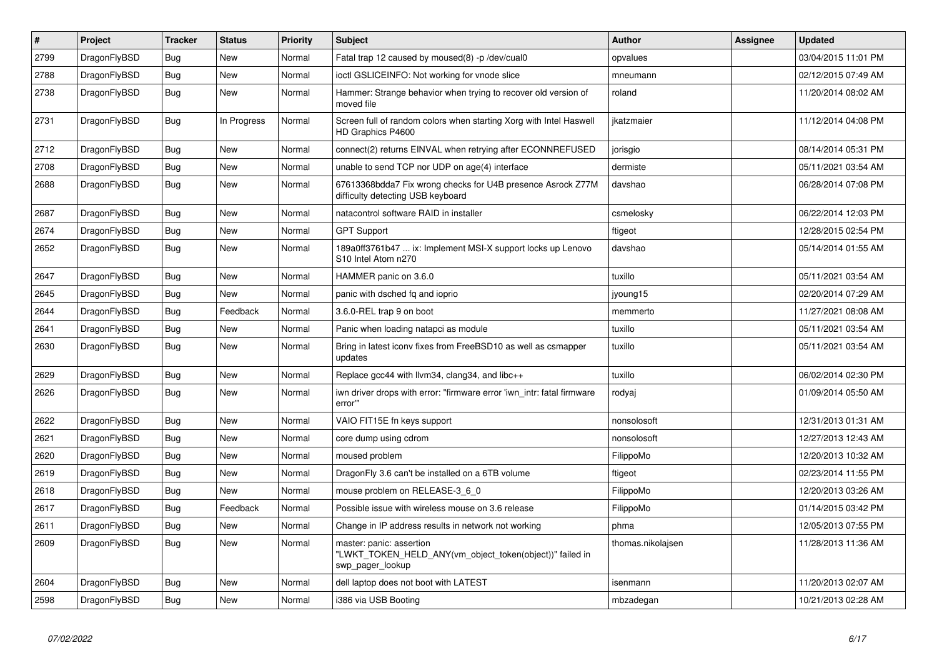| $\vert$ # | Project      | <b>Tracker</b> | <b>Status</b> | <b>Priority</b> | <b>Subject</b>                                                                                             | Author            | Assignee | <b>Updated</b>      |
|-----------|--------------|----------------|---------------|-----------------|------------------------------------------------------------------------------------------------------------|-------------------|----------|---------------------|
| 2799      | DragonFlyBSD | Bug            | New           | Normal          | Fatal trap 12 caused by moused(8) -p/dev/cual0                                                             | opvalues          |          | 03/04/2015 11:01 PM |
| 2788      | DragonFlyBSD | <b>Bug</b>     | <b>New</b>    | Normal          | ioctl GSLICEINFO: Not working for vnode slice                                                              | mneumann          |          | 02/12/2015 07:49 AM |
| 2738      | DragonFlyBSD | <b>Bug</b>     | New           | Normal          | Hammer: Strange behavior when trying to recover old version of<br>moved file                               | roland            |          | 11/20/2014 08:02 AM |
| 2731      | DragonFlyBSD | <b>Bug</b>     | In Progress   | Normal          | Screen full of random colors when starting Xorg with Intel Haswell<br>HD Graphics P4600                    | jkatzmaier        |          | 11/12/2014 04:08 PM |
| 2712      | DragonFlyBSD | <b>Bug</b>     | <b>New</b>    | Normal          | connect(2) returns EINVAL when retrying after ECONNREFUSED                                                 | jorisgio          |          | 08/14/2014 05:31 PM |
| 2708      | DragonFlyBSD | <b>Bug</b>     | <b>New</b>    | Normal          | unable to send TCP nor UDP on age(4) interface                                                             | dermiste          |          | 05/11/2021 03:54 AM |
| 2688      | DragonFlyBSD | <b>Bug</b>     | <b>New</b>    | Normal          | 67613368bdda7 Fix wrong checks for U4B presence Asrock Z77M<br>difficulty detecting USB keyboard           | davshao           |          | 06/28/2014 07:08 PM |
| 2687      | DragonFlyBSD | <b>Bug</b>     | <b>New</b>    | Normal          | natacontrol software RAID in installer                                                                     | csmelosky         |          | 06/22/2014 12:03 PM |
| 2674      | DragonFlyBSD | <b>Bug</b>     | <b>New</b>    | Normal          | <b>GPT Support</b>                                                                                         | ftigeot           |          | 12/28/2015 02:54 PM |
| 2652      | DragonFlyBSD | Bug            | <b>New</b>    | Normal          | 189a0ff3761b47  ix: Implement MSI-X support locks up Lenovo<br>S <sub>10</sub> Intel Atom n <sub>270</sub> | davshao           |          | 05/14/2014 01:55 AM |
| 2647      | DragonFlyBSD | <b>Bug</b>     | <b>New</b>    | Normal          | HAMMER panic on 3.6.0                                                                                      | tuxillo           |          | 05/11/2021 03:54 AM |
| 2645      | DragonFlyBSD | <b>Bug</b>     | <b>New</b>    | Normal          | panic with dsched fq and ioprio                                                                            | jyoung15          |          | 02/20/2014 07:29 AM |
| 2644      | DragonFlyBSD | <b>Bug</b>     | Feedback      | Normal          | 3.6.0-REL trap 9 on boot                                                                                   | memmerto          |          | 11/27/2021 08:08 AM |
| 2641      | DragonFlyBSD | <b>Bug</b>     | <b>New</b>    | Normal          | Panic when loading natapci as module                                                                       | tuxillo           |          | 05/11/2021 03:54 AM |
| 2630      | DragonFlyBSD | <b>Bug</b>     | New           | Normal          | Bring in latest iconv fixes from FreeBSD10 as well as csmapper<br>updates                                  | tuxillo           |          | 05/11/2021 03:54 AM |
| 2629      | DragonFlyBSD | <b>Bug</b>     | New           | Normal          | Replace gcc44 with llvm34, clang34, and libc++                                                             | tuxillo           |          | 06/02/2014 02:30 PM |
| 2626      | DragonFlyBSD | Bug            | New           | Normal          | iwn driver drops with error: "firmware error 'iwn_intr: fatal firmware<br>error"                           | rodyaj            |          | 01/09/2014 05:50 AM |
| 2622      | DragonFlyBSD | <b>Bug</b>     | New           | Normal          | VAIO FIT15E fn keys support                                                                                | nonsolosoft       |          | 12/31/2013 01:31 AM |
| 2621      | DragonFlyBSD | <b>Bug</b>     | New           | Normal          | core dump using cdrom                                                                                      | nonsolosoft       |          | 12/27/2013 12:43 AM |
| 2620      | DragonFlyBSD | <b>Bug</b>     | New           | Normal          | moused problem                                                                                             | FilippoMo         |          | 12/20/2013 10:32 AM |
| 2619      | DragonFlyBSD | Bug            | New           | Normal          | DragonFly 3.6 can't be installed on a 6TB volume                                                           | ftigeot           |          | 02/23/2014 11:55 PM |
| 2618      | DragonFlyBSD | Bug            | New           | Normal          | mouse problem on RELEASE-3 6 0                                                                             | FilippoMo         |          | 12/20/2013 03:26 AM |
| 2617      | DragonFlyBSD | <b>Bug</b>     | Feedback      | Normal          | Possible issue with wireless mouse on 3.6 release                                                          | FilippoMo         |          | 01/14/2015 03:42 PM |
| 2611      | DragonFlyBSD | <b>Bug</b>     | <b>New</b>    | Normal          | Change in IP address results in network not working                                                        | phma              |          | 12/05/2013 07:55 PM |
| 2609      | DragonFlyBSD | <b>Bug</b>     | New           | Normal          | master: panic: assertion<br>"LWKT TOKEN HELD ANY(vm object token(object))" failed in<br>swp pager lookup   | thomas.nikolajsen |          | 11/28/2013 11:36 AM |
| 2604      | DragonFlyBSD | Bug            | <b>New</b>    | Normal          | dell laptop does not boot with LATEST                                                                      | isenmann          |          | 11/20/2013 02:07 AM |
| 2598      | DragonFlyBSD | Bug            | New           | Normal          | i386 via USB Booting                                                                                       | mbzadegan         |          | 10/21/2013 02:28 AM |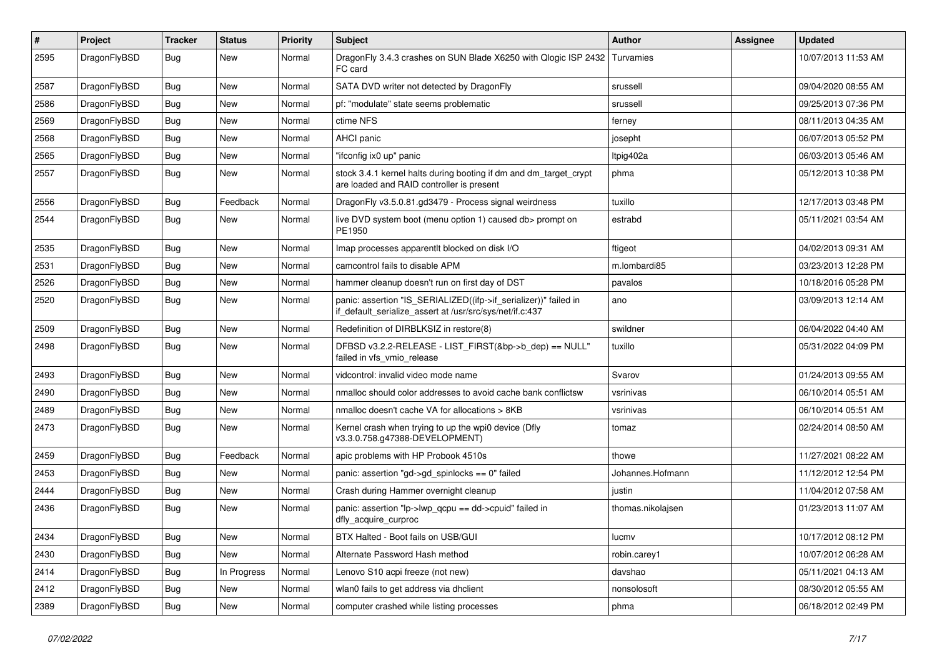| #    | Project      | <b>Tracker</b> | <b>Status</b> | <b>Priority</b> | <b>Subject</b>                                                                                                               | Author            | Assignee | <b>Updated</b>      |
|------|--------------|----------------|---------------|-----------------|------------------------------------------------------------------------------------------------------------------------------|-------------------|----------|---------------------|
| 2595 | DragonFlyBSD | <b>Bug</b>     | New           | Normal          | DragonFly 3.4.3 crashes on SUN Blade X6250 with Qlogic ISP 2432<br>FC card                                                   | Turvamies         |          | 10/07/2013 11:53 AM |
| 2587 | DragonFlyBSD | <b>Bug</b>     | <b>New</b>    | Normal          | SATA DVD writer not detected by DragonFly                                                                                    | srussell          |          | 09/04/2020 08:55 AM |
| 2586 | DragonFlyBSD | Bug            | <b>New</b>    | Normal          | pf: "modulate" state seems problematic                                                                                       | srussell          |          | 09/25/2013 07:36 PM |
| 2569 | DragonFlyBSD | Bug            | <b>New</b>    | Normal          | ctime NFS                                                                                                                    | ferney            |          | 08/11/2013 04:35 AM |
| 2568 | DragonFlyBSD | <b>Bug</b>     | New           | Normal          | <b>AHCI</b> panic                                                                                                            | josepht           |          | 06/07/2013 05:52 PM |
| 2565 | DragonFlyBSD | <b>Bug</b>     | <b>New</b>    | Normal          | "ifconfig ix0 up" panic                                                                                                      | Itpig402a         |          | 06/03/2013 05:46 AM |
| 2557 | DragonFlyBSD | <b>Bug</b>     | New           | Normal          | stock 3.4.1 kernel halts during booting if dm and dm_target_crypt<br>are loaded and RAID controller is present               | phma              |          | 05/12/2013 10:38 PM |
| 2556 | DragonFlyBSD | Bug            | Feedback      | Normal          | DragonFly v3.5.0.81.gd3479 - Process signal weirdness                                                                        | tuxillo           |          | 12/17/2013 03:48 PM |
| 2544 | DragonFlyBSD | <b>Bug</b>     | <b>New</b>    | Normal          | live DVD system boot (menu option 1) caused db> prompt on<br>PE1950                                                          | estrabd           |          | 05/11/2021 03:54 AM |
| 2535 | DragonFlyBSD | <b>Bug</b>     | <b>New</b>    | Normal          | Imap processes apparentlt blocked on disk I/O                                                                                | ftigeot           |          | 04/02/2013 09:31 AM |
| 2531 | DragonFlyBSD | <b>Bug</b>     | New           | Normal          | camcontrol fails to disable APM                                                                                              | m.lombardi85      |          | 03/23/2013 12:28 PM |
| 2526 | DragonFlyBSD | <b>Bug</b>     | <b>New</b>    | Normal          | hammer cleanup doesn't run on first day of DST                                                                               | pavalos           |          | 10/18/2016 05:28 PM |
| 2520 | DragonFlyBSD | <b>Bug</b>     | New           | Normal          | panic: assertion "IS_SERIALIZED((ifp->if_serializer))" failed in<br>if_default_serialize_assert at /usr/src/sys/net/if.c:437 | ano               |          | 03/09/2013 12:14 AM |
| 2509 | DragonFlyBSD | <b>Bug</b>     | <b>New</b>    | Normal          | Redefinition of DIRBLKSIZ in restore(8)                                                                                      | swildner          |          | 06/04/2022 04:40 AM |
| 2498 | DragonFlyBSD | <b>Bug</b>     | New           | Normal          | DFBSD v3.2.2-RELEASE - LIST_FIRST(&bp->b_dep) == NULL"<br>failed in vfs_vmio_release                                         | tuxillo           |          | 05/31/2022 04:09 PM |
| 2493 | DragonFlyBSD | Bug            | <b>New</b>    | Normal          | vidcontrol: invalid video mode name                                                                                          | Svarov            |          | 01/24/2013 09:55 AM |
| 2490 | DragonFlyBSD | <b>Bug</b>     | New           | Normal          | nmalloc should color addresses to avoid cache bank conflictsw                                                                | vsrinivas         |          | 06/10/2014 05:51 AM |
| 2489 | DragonFlyBSD | <b>Bug</b>     | <b>New</b>    | Normal          | nmalloc doesn't cache VA for allocations > 8KB                                                                               | vsrinivas         |          | 06/10/2014 05:51 AM |
| 2473 | DragonFlyBSD | Bug            | New           | Normal          | Kernel crash when trying to up the wpi0 device (Dfly<br>v3.3.0.758.g47388-DEVELOPMENT)                                       | tomaz             |          | 02/24/2014 08:50 AM |
| 2459 | DragonFlyBSD | <b>Bug</b>     | Feedback      | Normal          | apic problems with HP Probook 4510s                                                                                          | thowe             |          | 11/27/2021 08:22 AM |
| 2453 | DragonFlyBSD | <b>Bug</b>     | <b>New</b>    | Normal          | panic: assertion "gd->gd_spinlocks == 0" failed                                                                              | Johannes.Hofmann  |          | 11/12/2012 12:54 PM |
| 2444 | DragonFlyBSD | Bug            | New           | Normal          | Crash during Hammer overnight cleanup                                                                                        | justin            |          | 11/04/2012 07:58 AM |
| 2436 | DragonFlyBSD | Bug            | New           | Normal          | panic: assertion "lp->lwp_qcpu == dd->cpuid" failed in<br>dfly_acquire_curproc                                               | thomas.nikolajsen |          | 01/23/2013 11:07 AM |
| 2434 | DragonFlyBSD | Bug            | New           | Normal          | BTX Halted - Boot fails on USB/GUI                                                                                           | lucmv             |          | 10/17/2012 08:12 PM |
| 2430 | DragonFlyBSD | <b>Bug</b>     | New           | Normal          | Alternate Password Hash method                                                                                               | robin.carey1      |          | 10/07/2012 06:28 AM |
| 2414 | DragonFlyBSD | <b>Bug</b>     | In Progress   | Normal          | Lenovo S10 acpi freeze (not new)                                                                                             | davshao           |          | 05/11/2021 04:13 AM |
| 2412 | DragonFlyBSD | Bug            | New           | Normal          | wlan0 fails to get address via dhclient                                                                                      | nonsolosoft       |          | 08/30/2012 05:55 AM |
| 2389 | DragonFlyBSD | <b>Bug</b>     | New           | Normal          | computer crashed while listing processes                                                                                     | phma              |          | 06/18/2012 02:49 PM |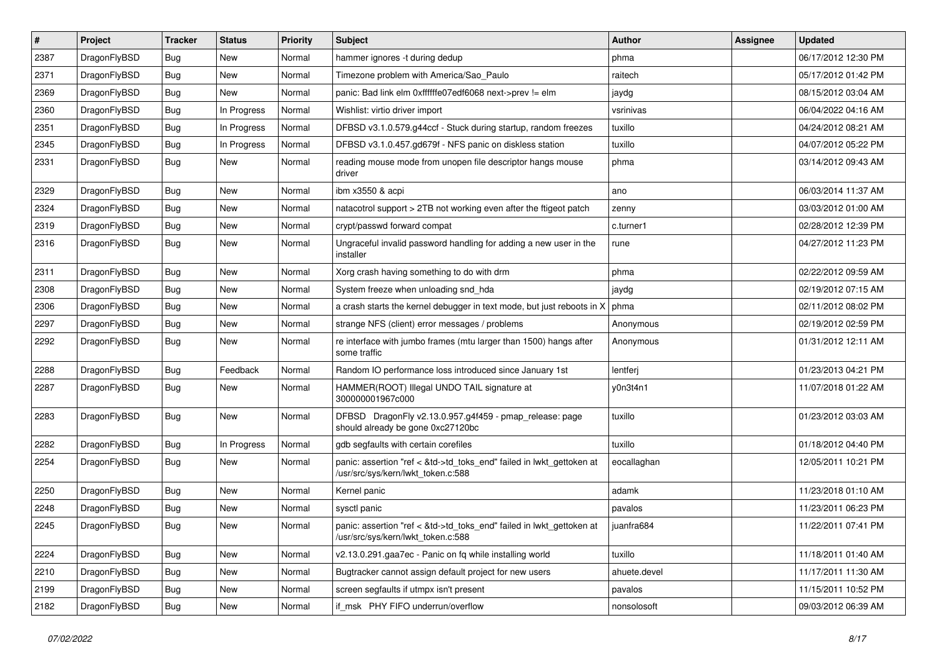| $\vert$ # | Project      | <b>Tracker</b> | <b>Status</b> | <b>Priority</b> | <b>Subject</b>                                                                                             | Author       | Assignee | <b>Updated</b>      |
|-----------|--------------|----------------|---------------|-----------------|------------------------------------------------------------------------------------------------------------|--------------|----------|---------------------|
| 2387      | DragonFlyBSD | <b>Bug</b>     | <b>New</b>    | Normal          | hammer ignores -t during dedup                                                                             | phma         |          | 06/17/2012 12:30 PM |
| 2371      | DragonFlyBSD | <b>Bug</b>     | <b>New</b>    | Normal          | Timezone problem with America/Sao_Paulo                                                                    | raitech      |          | 05/17/2012 01:42 PM |
| 2369      | DragonFlyBSD | <b>Bug</b>     | New           | Normal          | panic: Bad link elm 0xffffffe07edf6068 next->prev != elm                                                   | jaydg        |          | 08/15/2012 03:04 AM |
| 2360      | DragonFlyBSD | Bug            | In Progress   | Normal          | Wishlist: virtio driver import                                                                             | vsrinivas    |          | 06/04/2022 04:16 AM |
| 2351      | DragonFlyBSD | <b>Bug</b>     | In Progress   | Normal          | DFBSD v3.1.0.579.g44ccf - Stuck during startup, random freezes                                             | tuxillo      |          | 04/24/2012 08:21 AM |
| 2345      | DragonFlyBSD | <b>Bug</b>     | In Progress   | Normal          | DFBSD v3.1.0.457.gd679f - NFS panic on diskless station                                                    | tuxillo      |          | 04/07/2012 05:22 PM |
| 2331      | DragonFlyBSD | Bug            | New           | Normal          | reading mouse mode from unopen file descriptor hangs mouse<br>driver                                       | phma         |          | 03/14/2012 09:43 AM |
| 2329      | DragonFlyBSD | <b>Bug</b>     | <b>New</b>    | Normal          | ibm x3550 & acpi                                                                                           | ano          |          | 06/03/2014 11:37 AM |
| 2324      | DragonFlyBSD | <b>Bug</b>     | <b>New</b>    | Normal          | natacotrol support > 2TB not working even after the ftigeot patch                                          | zenny        |          | 03/03/2012 01:00 AM |
| 2319      | DragonFlyBSD | <b>Bug</b>     | <b>New</b>    | Normal          | crypt/passwd forward compat                                                                                | c.turner1    |          | 02/28/2012 12:39 PM |
| 2316      | DragonFlyBSD | Bug            | New           | Normal          | Ungraceful invalid password handling for adding a new user in the<br>installer                             | rune         |          | 04/27/2012 11:23 PM |
| 2311      | DragonFlyBSD | Bug            | <b>New</b>    | Normal          | Xorg crash having something to do with drm                                                                 | phma         |          | 02/22/2012 09:59 AM |
| 2308      | DragonFlyBSD | Bug            | <b>New</b>    | Normal          | System freeze when unloading snd_hda                                                                       | jaydg        |          | 02/19/2012 07:15 AM |
| 2306      | DragonFlyBSD | <b>Bug</b>     | <b>New</b>    | Normal          | a crash starts the kernel debugger in text mode, but just reboots in $X \mid p$ hma                        |              |          | 02/11/2012 08:02 PM |
| 2297      | DragonFlyBSD | <b>Bug</b>     | <b>New</b>    | Normal          | strange NFS (client) error messages / problems                                                             | Anonymous    |          | 02/19/2012 02:59 PM |
| 2292      | DragonFlyBSD | Bug            | <b>New</b>    | Normal          | re interface with jumbo frames (mtu larger than 1500) hangs after<br>some traffic                          | Anonymous    |          | 01/31/2012 12:11 AM |
| 2288      | DragonFlyBSD | Bug            | Feedback      | Normal          | Random IO performance loss introduced since January 1st                                                    | lentferj     |          | 01/23/2013 04:21 PM |
| 2287      | DragonFlyBSD | <b>Bug</b>     | New           | Normal          | HAMMER(ROOT) Illegal UNDO TAIL signature at<br>300000001967c000                                            | y0n3t4n1     |          | 11/07/2018 01:22 AM |
| 2283      | DragonFlyBSD | Bug            | <b>New</b>    | Normal          | DFBSD DragonFly v2.13.0.957.g4f459 - pmap_release: page<br>should already be gone 0xc27120bc               | tuxillo      |          | 01/23/2012 03:03 AM |
| 2282      | DragonFlyBSD | Bug            | In Progress   | Normal          | gdb segfaults with certain corefiles                                                                       | tuxillo      |          | 01/18/2012 04:40 PM |
| 2254      | DragonFlyBSD | Bug            | <b>New</b>    | Normal          | panic: assertion "ref < &td->td_toks_end" failed in lwkt_gettoken at<br>/usr/src/sys/kern/lwkt_token.c:588 | eocallaghan  |          | 12/05/2011 10:21 PM |
| 2250      | DragonFlyBSD | Bug            | <b>New</b>    | Normal          | Kernel panic                                                                                               | adamk        |          | 11/23/2018 01:10 AM |
| 2248      | DragonFlyBSD | Bug            | <b>New</b>    | Normal          | sysctl panic                                                                                               | pavalos      |          | 11/23/2011 06:23 PM |
| 2245      | DragonFlyBSD | Bug            | New           | Normal          | panic: assertion "ref < &td->td toks end" failed in lwkt gettoken at<br>/usr/src/sys/kern/lwkt_token.c:588 | juanfra684   |          | 11/22/2011 07:41 PM |
| 2224      | DragonFlyBSD | <b>Bug</b>     | <b>New</b>    | Normal          | v2.13.0.291.gaa7ec - Panic on fq while installing world                                                    | tuxillo      |          | 11/18/2011 01:40 AM |
| 2210      | DragonFlyBSD | <b>Bug</b>     | New           | Normal          | Bugtracker cannot assign default project for new users                                                     | ahuete.devel |          | 11/17/2011 11:30 AM |
| 2199      | DragonFlyBSD | <b>Bug</b>     | New           | Normal          | screen segfaults if utmpx isn't present                                                                    | pavalos      |          | 11/15/2011 10:52 PM |
| 2182      | DragonFlyBSD | <b>Bug</b>     | New           | Normal          | if_msk PHY FIFO underrun/overflow                                                                          | nonsolosoft  |          | 09/03/2012 06:39 AM |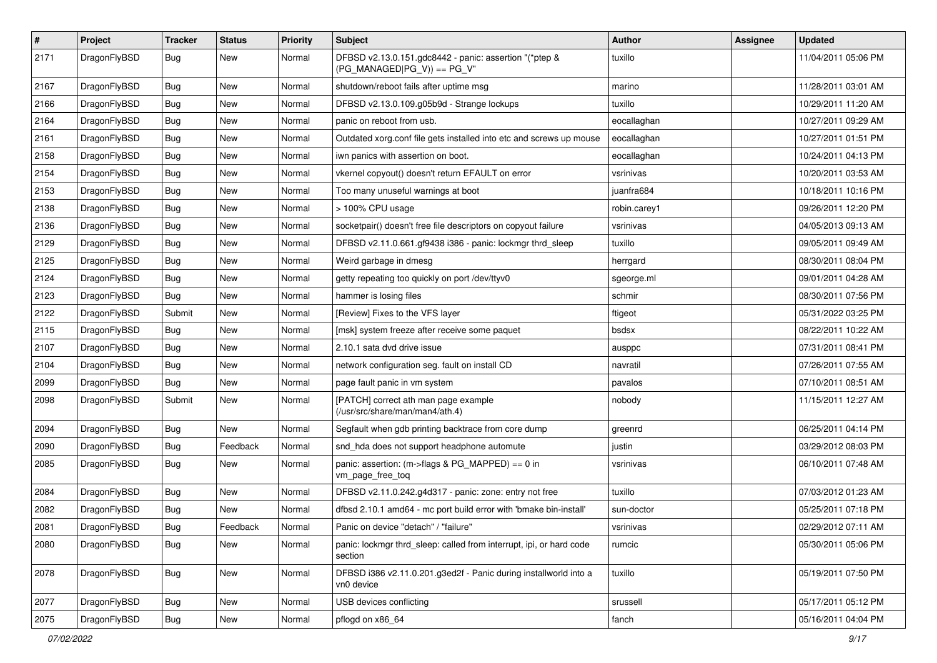| $\pmb{\#}$ | Project      | <b>Tracker</b> | <b>Status</b> | <b>Priority</b> | Subject                                                                                 | Author       | Assignee | <b>Updated</b>      |
|------------|--------------|----------------|---------------|-----------------|-----------------------------------------------------------------------------------------|--------------|----------|---------------------|
| 2171       | DragonFlyBSD | Bug            | New           | Normal          | DFBSD v2.13.0.151.gdc8442 - panic: assertion "(*ptep &<br>$(PG_MANAGED PG_V)) == PG_V"$ | tuxillo      |          | 11/04/2011 05:06 PM |
| 2167       | DragonFlyBSD | <b>Bug</b>     | <b>New</b>    | Normal          | shutdown/reboot fails after uptime msg                                                  | marino       |          | 11/28/2011 03:01 AM |
| 2166       | DragonFlyBSD | Bug            | New           | Normal          | DFBSD v2.13.0.109.g05b9d - Strange lockups                                              | tuxillo      |          | 10/29/2011 11:20 AM |
| 2164       | DragonFlyBSD | Bug            | <b>New</b>    | Normal          | panic on reboot from usb.                                                               | eocallaghan  |          | 10/27/2011 09:29 AM |
| 2161       | DragonFlyBSD | Bug            | New           | Normal          | Outdated xorg.conf file gets installed into etc and screws up mouse                     | eocallaghan  |          | 10/27/2011 01:51 PM |
| 2158       | DragonFlyBSD | Bug            | New           | Normal          | iwn panics with assertion on boot.                                                      | eocallaghan  |          | 10/24/2011 04:13 PM |
| 2154       | DragonFlyBSD | Bug            | New           | Normal          | vkernel copyout() doesn't return EFAULT on error                                        | vsrinivas    |          | 10/20/2011 03:53 AM |
| 2153       | DragonFlyBSD | Bug            | <b>New</b>    | Normal          | Too many unuseful warnings at boot                                                      | juanfra684   |          | 10/18/2011 10:16 PM |
| 2138       | DragonFlyBSD | Bug            | <b>New</b>    | Normal          | > 100% CPU usage                                                                        | robin.carey1 |          | 09/26/2011 12:20 PM |
| 2136       | DragonFlyBSD | Bug            | New           | Normal          | socketpair() doesn't free file descriptors on copyout failure                           | vsrinivas    |          | 04/05/2013 09:13 AM |
| 2129       | DragonFlyBSD | Bug            | New           | Normal          | DFBSD v2.11.0.661.gf9438 i386 - panic: lockmgr thrd_sleep                               | tuxillo      |          | 09/05/2011 09:49 AM |
| 2125       | DragonFlyBSD | Bug            | New           | Normal          | Weird garbage in dmesg                                                                  | herrgard     |          | 08/30/2011 08:04 PM |
| 2124       | DragonFlyBSD | Bug            | New           | Normal          | getty repeating too quickly on port /dev/ttyv0                                          | sgeorge.ml   |          | 09/01/2011 04:28 AM |
| 2123       | DragonFlyBSD | Bug            | New           | Normal          | hammer is losing files                                                                  | schmir       |          | 08/30/2011 07:56 PM |
| 2122       | DragonFlyBSD | Submit         | New           | Normal          | [Review] Fixes to the VFS layer                                                         | ftigeot      |          | 05/31/2022 03:25 PM |
| 2115       | DragonFlyBSD | Bug            | New           | Normal          | [msk] system freeze after receive some paquet                                           | bsdsx        |          | 08/22/2011 10:22 AM |
| 2107       | DragonFlyBSD | <b>Bug</b>     | <b>New</b>    | Normal          | 2.10.1 sata dvd drive issue                                                             | ausppc       |          | 07/31/2011 08:41 PM |
| 2104       | DragonFlyBSD | Bug            | New           | Normal          | network configuration seg. fault on install CD                                          | navratil     |          | 07/26/2011 07:55 AM |
| 2099       | DragonFlyBSD | Bug            | <b>New</b>    | Normal          | page fault panic in vm system                                                           | pavalos      |          | 07/10/2011 08:51 AM |
| 2098       | DragonFlyBSD | Submit         | New           | Normal          | [PATCH] correct ath man page example<br>(/usr/src/share/man/man4/ath.4)                 | nobody       |          | 11/15/2011 12:27 AM |
| 2094       | DragonFlyBSD | Bug            | New           | Normal          | Segfault when gdb printing backtrace from core dump                                     | greenrd      |          | 06/25/2011 04:14 PM |
| 2090       | DragonFlyBSD | Bug            | Feedback      | Normal          | snd_hda does not support headphone automute                                             | justin       |          | 03/29/2012 08:03 PM |
| 2085       | DragonFlyBSD | Bug            | New           | Normal          | panic: assertion: (m->flags & PG_MAPPED) == 0 in<br>vm_page_free_toq                    | vsrinivas    |          | 06/10/2011 07:48 AM |
| 2084       | DragonFlyBSD | Bug            | New           | Normal          | DFBSD v2.11.0.242.g4d317 - panic: zone: entry not free                                  | tuxillo      |          | 07/03/2012 01:23 AM |
| 2082       | DragonFlyBSD | Bug            | New           | Normal          | dfbsd 2.10.1 amd64 - mc port build error with 'bmake bin-install'                       | sun-doctor   |          | 05/25/2011 07:18 PM |
| 2081       | DragonFlyBSD | Bug            | Feedback      | Normal          | Panic on device "detach" / "failure"                                                    | vsrinivas    |          | 02/29/2012 07:11 AM |
| 2080       | DragonFlyBSD | Bug            | New           | Normal          | panic: lockmgr thrd_sleep: called from interrupt, ipi, or hard code<br>section          | rumcic       |          | 05/30/2011 05:06 PM |
| 2078       | DragonFlyBSD | Bug            | New           | Normal          | DFBSD i386 v2.11.0.201.g3ed2f - Panic during installworld into a<br>vn0 device          | tuxillo      |          | 05/19/2011 07:50 PM |
| 2077       | DragonFlyBSD | Bug            | New           | Normal          | USB devices conflicting                                                                 | srussell     |          | 05/17/2011 05:12 PM |
| 2075       | DragonFlyBSD | <b>Bug</b>     | New           | Normal          | pflogd on x86_64                                                                        | fanch        |          | 05/16/2011 04:04 PM |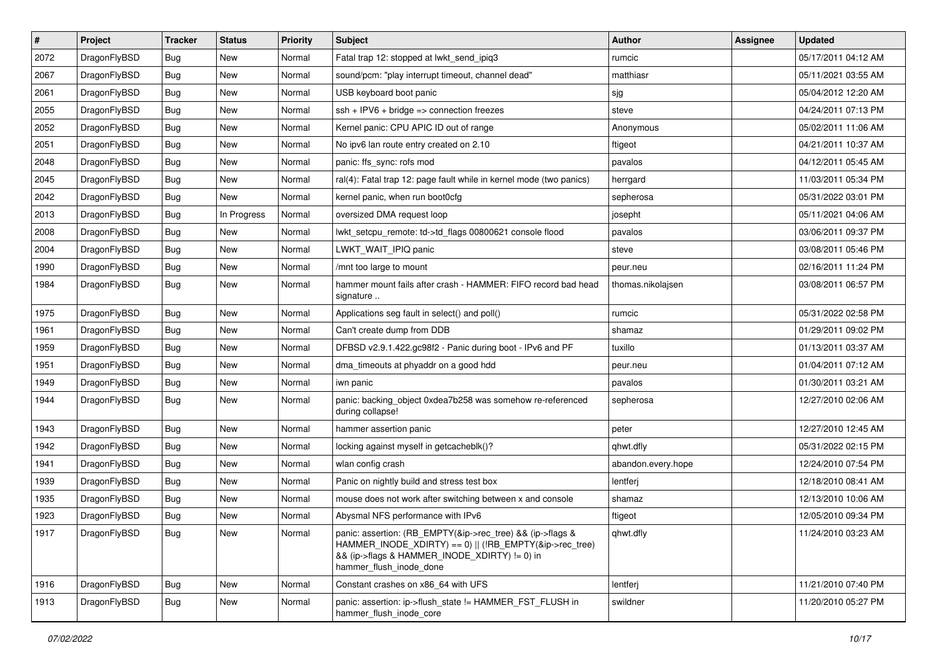| $\pmb{\#}$ | Project      | <b>Tracker</b> | <b>Status</b> | <b>Priority</b> | Subject                                                                                                                                                                                           | <b>Author</b>      | Assignee | <b>Updated</b>      |
|------------|--------------|----------------|---------------|-----------------|---------------------------------------------------------------------------------------------------------------------------------------------------------------------------------------------------|--------------------|----------|---------------------|
| 2072       | DragonFlyBSD | Bug            | <b>New</b>    | Normal          | Fatal trap 12: stopped at lwkt_send_ipiq3                                                                                                                                                         | rumcic             |          | 05/17/2011 04:12 AM |
| 2067       | DragonFlyBSD | Bug            | <b>New</b>    | Normal          | sound/pcm: "play interrupt timeout, channel dead"                                                                                                                                                 | matthiasr          |          | 05/11/2021 03:55 AM |
| 2061       | DragonFlyBSD | Bug            | <b>New</b>    | Normal          | USB keyboard boot panic                                                                                                                                                                           | sjg                |          | 05/04/2012 12:20 AM |
| 2055       | DragonFlyBSD | <b>Bug</b>     | New           | Normal          | $ssh + IPV6 + bridge \Rightarrow connection freezes$                                                                                                                                              | steve              |          | 04/24/2011 07:13 PM |
| 2052       | DragonFlyBSD | Bug            | <b>New</b>    | Normal          | Kernel panic: CPU APIC ID out of range                                                                                                                                                            | Anonymous          |          | 05/02/2011 11:06 AM |
| 2051       | DragonFlyBSD | Bug            | New           | Normal          | No ipv6 lan route entry created on 2.10                                                                                                                                                           | ftigeot            |          | 04/21/2011 10:37 AM |
| 2048       | DragonFlyBSD | Bug            | <b>New</b>    | Normal          | panic: ffs_sync: rofs mod                                                                                                                                                                         | pavalos            |          | 04/12/2011 05:45 AM |
| 2045       | DragonFlyBSD | <b>Bug</b>     | New           | Normal          | ral(4): Fatal trap 12: page fault while in kernel mode (two panics)                                                                                                                               | herrgard           |          | 11/03/2011 05:34 PM |
| 2042       | DragonFlyBSD | <b>Bug</b>     | <b>New</b>    | Normal          | kernel panic, when run boot0cfg                                                                                                                                                                   | sepherosa          |          | 05/31/2022 03:01 PM |
| 2013       | DragonFlyBSD | Bug            | In Progress   | Normal          | oversized DMA request loop                                                                                                                                                                        | josepht            |          | 05/11/2021 04:06 AM |
| 2008       | DragonFlyBSD | Bug            | New           | Normal          | lwkt_setcpu_remote: td->td_flags 00800621 console flood                                                                                                                                           | pavalos            |          | 03/06/2011 09:37 PM |
| 2004       | DragonFlyBSD | Bug            | New           | Normal          | LWKT_WAIT_IPIQ panic                                                                                                                                                                              | steve              |          | 03/08/2011 05:46 PM |
| 1990       | DragonFlyBSD | Bug            | New           | Normal          | /mnt too large to mount                                                                                                                                                                           | peur.neu           |          | 02/16/2011 11:24 PM |
| 1984       | DragonFlyBSD | <b>Bug</b>     | New           | Normal          | hammer mount fails after crash - HAMMER: FIFO record bad head<br>signature                                                                                                                        | thomas.nikolajsen  |          | 03/08/2011 06:57 PM |
| 1975       | DragonFlyBSD | Bug            | <b>New</b>    | Normal          | Applications seg fault in select() and poll()                                                                                                                                                     | rumcic             |          | 05/31/2022 02:58 PM |
| 1961       | DragonFlyBSD | Bug            | New           | Normal          | Can't create dump from DDB                                                                                                                                                                        | shamaz             |          | 01/29/2011 09:02 PM |
| 1959       | DragonFlyBSD | Bug            | <b>New</b>    | Normal          | DFBSD v2.9.1.422.gc98f2 - Panic during boot - IPv6 and PF                                                                                                                                         | tuxillo            |          | 01/13/2011 03:37 AM |
| 1951       | DragonFlyBSD | Bug            | New           | Normal          | dma_timeouts at phyaddr on a good hdd                                                                                                                                                             | peur.neu           |          | 01/04/2011 07:12 AM |
| 1949       | DragonFlyBSD | Bug            | <b>New</b>    | Normal          | iwn panic                                                                                                                                                                                         | pavalos            |          | 01/30/2011 03:21 AM |
| 1944       | DragonFlyBSD | Bug            | New           | Normal          | panic: backing_object 0xdea7b258 was somehow re-referenced<br>during collapse!                                                                                                                    | sepherosa          |          | 12/27/2010 02:06 AM |
| 1943       | DragonFlyBSD | Bug            | <b>New</b>    | Normal          | hammer assertion panic                                                                                                                                                                            | peter              |          | 12/27/2010 12:45 AM |
| 1942       | DragonFlyBSD | Bug            | <b>New</b>    | Normal          | locking against myself in getcacheblk()?                                                                                                                                                          | qhwt.dfly          |          | 05/31/2022 02:15 PM |
| 1941       | DragonFlyBSD | Bug            | New           | Normal          | wlan config crash                                                                                                                                                                                 | abandon.every.hope |          | 12/24/2010 07:54 PM |
| 1939       | DragonFlyBSD | Bug            | <b>New</b>    | Normal          | Panic on nightly build and stress test box                                                                                                                                                        | lentferj           |          | 12/18/2010 08:41 AM |
| 1935       | DragonFlyBSD | Bug            | New           | Normal          | mouse does not work after switching between x and console                                                                                                                                         | shamaz             |          | 12/13/2010 10:06 AM |
| 1923       | DragonFlyBSD | Bug            | <b>New</b>    | Normal          | Abysmal NFS performance with IPv6                                                                                                                                                                 | ftigeot            |          | 12/05/2010 09:34 PM |
| 1917       | DragonFlyBSD | Bug            | New           | Normal          | panic: assertion: (RB_EMPTY(&ip->rec_tree) && (ip->flags &<br>HAMMER_INODE_XDIRTY) == 0)    (!RB_EMPTY(&ip->rec_tree)<br>&& (ip->flags & HAMMER INODE XDIRTY) != 0) in<br>hammer_flush_inode_done | qhwt.dfly          |          | 11/24/2010 03:23 AM |
| 1916       | DragonFlyBSD | Bug            | <b>New</b>    | Normal          | Constant crashes on x86_64 with UFS                                                                                                                                                               | lentferj           |          | 11/21/2010 07:40 PM |
| 1913       | DragonFlyBSD | <b>Bug</b>     | New           | Normal          | panic: assertion: ip->flush state != HAMMER FST FLUSH in<br>hammer_flush_inode_core                                                                                                               | swildner           |          | 11/20/2010 05:27 PM |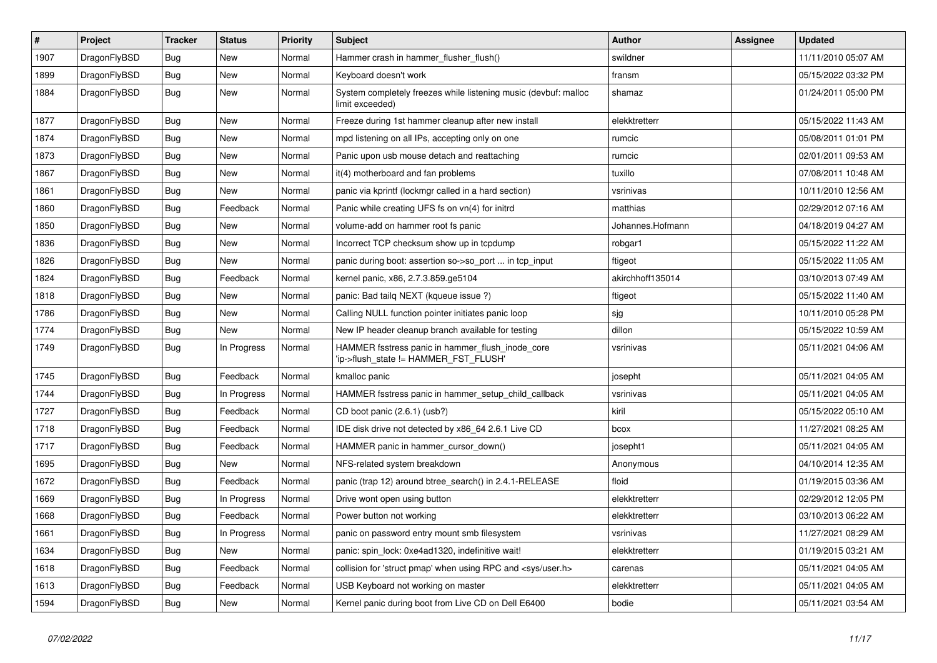| $\vert$ # | Project      | <b>Tracker</b> | <b>Status</b> | <b>Priority</b> | <b>Subject</b>                                                                            | <b>Author</b>    | Assignee | Updated             |
|-----------|--------------|----------------|---------------|-----------------|-------------------------------------------------------------------------------------------|------------------|----------|---------------------|
| 1907      | DragonFlyBSD | Bug            | <b>New</b>    | Normal          | Hammer crash in hammer flusher flush()                                                    | swildner         |          | 11/11/2010 05:07 AM |
| 1899      | DragonFlyBSD | <b>Bug</b>     | <b>New</b>    | Normal          | Keyboard doesn't work                                                                     | fransm           |          | 05/15/2022 03:32 PM |
| 1884      | DragonFlyBSD | <b>Bug</b>     | <b>New</b>    | Normal          | System completely freezes while listening music (devbuf: malloc<br>limit exceeded)        | shamaz           |          | 01/24/2011 05:00 PM |
| 1877      | DragonFlyBSD | <b>Bug</b>     | <b>New</b>    | Normal          | Freeze during 1st hammer cleanup after new install                                        | elekktretterr    |          | 05/15/2022 11:43 AM |
| 1874      | DragonFlyBSD | Bug            | <b>New</b>    | Normal          | mpd listening on all IPs, accepting only on one                                           | rumcic           |          | 05/08/2011 01:01 PM |
| 1873      | DragonFlyBSD | <b>Bug</b>     | <b>New</b>    | Normal          | Panic upon usb mouse detach and reattaching                                               | rumcic           |          | 02/01/2011 09:53 AM |
| 1867      | DragonFlyBSD | <b>Bug</b>     | <b>New</b>    | Normal          | it(4) motherboard and fan problems                                                        | tuxillo          |          | 07/08/2011 10:48 AM |
| 1861      | DragonFlyBSD | <b>Bug</b>     | <b>New</b>    | Normal          | panic via kprintf (lockmgr called in a hard section)                                      | vsrinivas        |          | 10/11/2010 12:56 AM |
| 1860      | DragonFlyBSD | <b>Bug</b>     | Feedback      | Normal          | Panic while creating UFS fs on vn(4) for initrd                                           | matthias         |          | 02/29/2012 07:16 AM |
| 1850      | DragonFlyBSD | <b>Bug</b>     | <b>New</b>    | Normal          | volume-add on hammer root fs panic                                                        | Johannes.Hofmann |          | 04/18/2019 04:27 AM |
| 1836      | DragonFlyBSD | <b>Bug</b>     | <b>New</b>    | Normal          | Incorrect TCP checksum show up in tcpdump                                                 | robgar1          |          | 05/15/2022 11:22 AM |
| 1826      | DragonFlyBSD | Bug            | <b>New</b>    | Normal          | panic during boot: assertion so->so_port  in tcp_input                                    | ftigeot          |          | 05/15/2022 11:05 AM |
| 1824      | DragonFlyBSD | <b>Bug</b>     | Feedback      | Normal          | kernel panic, x86, 2.7.3.859.ge5104                                                       | akirchhoff135014 |          | 03/10/2013 07:49 AM |
| 1818      | DragonFlyBSD | <b>Bug</b>     | <b>New</b>    | Normal          | panic: Bad tailg NEXT (kqueue issue ?)                                                    | ftigeot          |          | 05/15/2022 11:40 AM |
| 1786      | DragonFlyBSD | <b>Bug</b>     | <b>New</b>    | Normal          | Calling NULL function pointer initiates panic loop                                        | sjg              |          | 10/11/2010 05:28 PM |
| 1774      | DragonFlyBSD | <b>Bug</b>     | <b>New</b>    | Normal          | New IP header cleanup branch available for testing                                        | dillon           |          | 05/15/2022 10:59 AM |
| 1749      | DragonFlyBSD | Bug            | In Progress   | Normal          | HAMMER fsstress panic in hammer flush inode core<br>'ip->flush_state != HAMMER_FST_FLUSH' | vsrinivas        |          | 05/11/2021 04:06 AM |
| 1745      | DragonFlyBSD | <b>Bug</b>     | Feedback      | Normal          | kmalloc panic                                                                             | josepht          |          | 05/11/2021 04:05 AM |
| 1744      | DragonFlyBSD | <b>Bug</b>     | In Progress   | Normal          | HAMMER fsstress panic in hammer_setup_child_callback                                      | vsrinivas        |          | 05/11/2021 04:05 AM |
| 1727      | DragonFlyBSD | <b>Bug</b>     | Feedback      | Normal          | CD boot panic (2.6.1) (usb?)                                                              | kiril            |          | 05/15/2022 05:10 AM |
| 1718      | DragonFlyBSD | Bug            | Feedback      | Normal          | IDE disk drive not detected by x86_64 2.6.1 Live CD                                       | bcox             |          | 11/27/2021 08:25 AM |
| 1717      | DragonFlyBSD | Bug            | Feedback      | Normal          | HAMMER panic in hammer cursor down()                                                      | josepht1         |          | 05/11/2021 04:05 AM |
| 1695      | DragonFlyBSD | Bug            | New           | Normal          | NFS-related system breakdown                                                              | Anonymous        |          | 04/10/2014 12:35 AM |
| 1672      | DragonFlyBSD | Bug            | Feedback      | Normal          | panic (trap 12) around btree search() in 2.4.1-RELEASE                                    | floid            |          | 01/19/2015 03:36 AM |
| 1669      | DragonFlyBSD | Bug            | In Progress   | Normal          | Drive wont open using button                                                              | elekktretterr    |          | 02/29/2012 12:05 PM |
| 1668      | DragonFlyBSD | <b>Bug</b>     | Feedback      | Normal          | Power button not working                                                                  | elekktretterr    |          | 03/10/2013 06:22 AM |
| 1661      | DragonFlyBSD | Bug            | In Progress   | Normal          | panic on password entry mount smb filesystem                                              | vsrinivas        |          | 11/27/2021 08:29 AM |
| 1634      | DragonFlyBSD | Bug            | <b>New</b>    | Normal          | panic: spin lock: 0xe4ad1320, indefinitive wait!                                          | elekktretterr    |          | 01/19/2015 03:21 AM |
| 1618      | DragonFlyBSD | Bug            | Feedback      | Normal          | collision for 'struct pmap' when using RPC and <sys user.h=""></sys>                      | carenas          |          | 05/11/2021 04:05 AM |
| 1613      | DragonFlyBSD | Bug            | Feedback      | Normal          | USB Keyboard not working on master                                                        | elekktretterr    |          | 05/11/2021 04:05 AM |
| 1594      | DragonFlyBSD | <b>Bug</b>     | New           | Normal          | Kernel panic during boot from Live CD on Dell E6400                                       | bodie            |          | 05/11/2021 03:54 AM |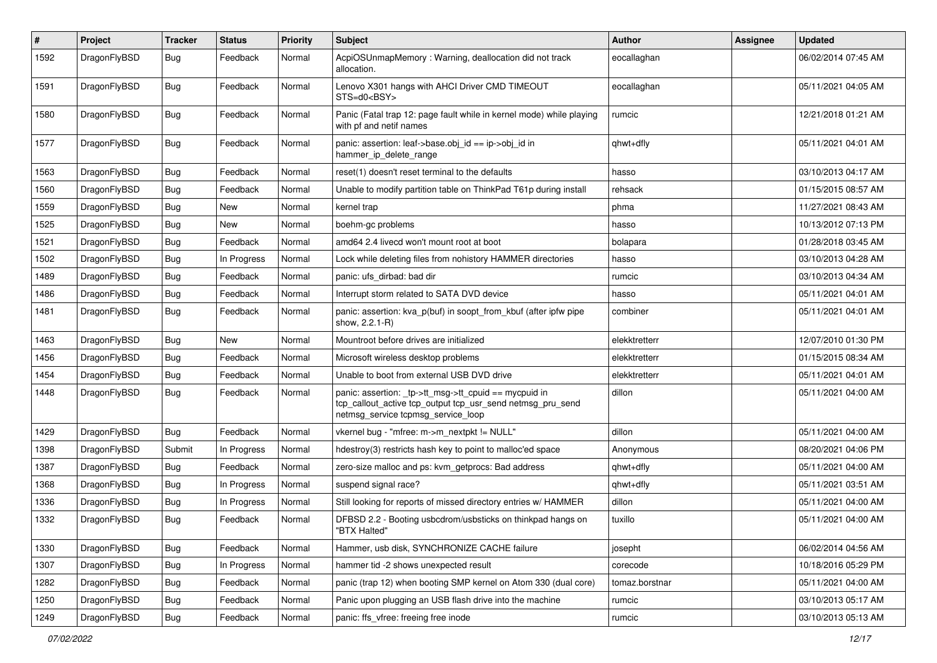| $\sharp$ | Project      | <b>Tracker</b> | <b>Status</b> | <b>Priority</b> | Subject                                                                                                                                                   | <b>Author</b>  | Assignee | <b>Updated</b>      |
|----------|--------------|----------------|---------------|-----------------|-----------------------------------------------------------------------------------------------------------------------------------------------------------|----------------|----------|---------------------|
| 1592     | DragonFlyBSD | <b>Bug</b>     | Feedback      | Normal          | AcpiOSUnmapMemory: Warning, deallocation did not track<br>allocation.                                                                                     | eocallaghan    |          | 06/02/2014 07:45 AM |
| 1591     | DragonFlyBSD | Bug            | Feedback      | Normal          | Lenovo X301 hangs with AHCI Driver CMD TIMEOUT<br>STS=d0 <bsy></bsy>                                                                                      | eocallaghan    |          | 05/11/2021 04:05 AM |
| 1580     | DragonFlyBSD | Bug            | Feedback      | Normal          | Panic (Fatal trap 12: page fault while in kernel mode) while playing<br>with pf and netif names                                                           | rumcic         |          | 12/21/2018 01:21 AM |
| 1577     | DragonFlyBSD | Bug            | Feedback      | Normal          | panic: assertion: leaf->base.obj_id == ip->obj_id in<br>hammer_ip_delete_range                                                                            | qhwt+dfly      |          | 05/11/2021 04:01 AM |
| 1563     | DragonFlyBSD | Bug            | Feedback      | Normal          | reset(1) doesn't reset terminal to the defaults                                                                                                           | hasso          |          | 03/10/2013 04:17 AM |
| 1560     | DragonFlyBSD | <b>Bug</b>     | Feedback      | Normal          | Unable to modify partition table on ThinkPad T61p during install                                                                                          | rehsack        |          | 01/15/2015 08:57 AM |
| 1559     | DragonFlyBSD | <b>Bug</b>     | <b>New</b>    | Normal          | kernel trap                                                                                                                                               | phma           |          | 11/27/2021 08:43 AM |
| 1525     | DragonFlyBSD | <b>Bug</b>     | New           | Normal          | boehm-gc problems                                                                                                                                         | hasso          |          | 10/13/2012 07:13 PM |
| 1521     | DragonFlyBSD | <b>Bug</b>     | Feedback      | Normal          | amd64 2.4 livecd won't mount root at boot                                                                                                                 | bolapara       |          | 01/28/2018 03:45 AM |
| 1502     | DragonFlyBSD | <b>Bug</b>     | In Progress   | Normal          | Lock while deleting files from nohistory HAMMER directories                                                                                               | hasso          |          | 03/10/2013 04:28 AM |
| 1489     | DragonFlyBSD | <b>Bug</b>     | Feedback      | Normal          | panic: ufs dirbad: bad dir                                                                                                                                | rumcic         |          | 03/10/2013 04:34 AM |
| 1486     | DragonFlyBSD | Bug            | Feedback      | Normal          | Interrupt storm related to SATA DVD device                                                                                                                | hasso          |          | 05/11/2021 04:01 AM |
| 1481     | DragonFlyBSD | <b>Bug</b>     | Feedback      | Normal          | panic: assertion: kva p(buf) in soopt from kbuf (after ipfw pipe<br>show, 2.2.1-R)                                                                        | combiner       |          | 05/11/2021 04:01 AM |
| 1463     | DragonFlyBSD | Bug            | New           | Normal          | Mountroot before drives are initialized                                                                                                                   | elekktretterr  |          | 12/07/2010 01:30 PM |
| 1456     | DragonFlyBSD | <b>Bug</b>     | Feedback      | Normal          | Microsoft wireless desktop problems                                                                                                                       | elekktretterr  |          | 01/15/2015 08:34 AM |
| 1454     | DragonFlyBSD | Bug            | Feedback      | Normal          | Unable to boot from external USB DVD drive                                                                                                                | elekktretterr  |          | 05/11/2021 04:01 AM |
| 1448     | DragonFlyBSD | <b>Bug</b>     | Feedback      | Normal          | panic: assertion: _tp->tt_msg->tt_cpuid == mycpuid in<br>tcp_callout_active tcp_output tcp_usr_send netmsg_pru_send<br>netmsg_service tcpmsg_service_loop | dillon         |          | 05/11/2021 04:00 AM |
| 1429     | DragonFlyBSD | Bug            | Feedback      | Normal          | vkernel bug - "mfree: m->m_nextpkt != NULL"                                                                                                               | dillon         |          | 05/11/2021 04:00 AM |
| 1398     | DragonFlyBSD | Submit         | In Progress   | Normal          | hdestroy(3) restricts hash key to point to malloc'ed space                                                                                                | Anonymous      |          | 08/20/2021 04:06 PM |
| 1387     | DragonFlyBSD | <b>Bug</b>     | Feedback      | Normal          | zero-size malloc and ps: kvm_getprocs: Bad address                                                                                                        | qhwt+dfly      |          | 05/11/2021 04:00 AM |
| 1368     | DragonFlyBSD | <b>Bug</b>     | In Progress   | Normal          | suspend signal race?                                                                                                                                      | qhwt+dfly      |          | 05/11/2021 03:51 AM |
| 1336     | DragonFlyBSD | Bug            | In Progress   | Normal          | Still looking for reports of missed directory entries w/ HAMMER                                                                                           | dillon         |          | 05/11/2021 04:00 AM |
| 1332     | DragonFlyBSD | <b>Bug</b>     | Feedback      | Normal          | DFBSD 2.2 - Booting usbcdrom/usbsticks on thinkpad hangs on<br>"BTX Halted"                                                                               | tuxillo        |          | 05/11/2021 04:00 AM |
| 1330     | DragonFlyBSD | Bug            | Feedback      | Normal          | Hammer, usb disk, SYNCHRONIZE CACHE failure                                                                                                               | josepht        |          | 06/02/2014 04:56 AM |
| 1307     | DragonFlyBSD | <b>Bug</b>     | In Progress   | Normal          | hammer tid -2 shows unexpected result                                                                                                                     | corecode       |          | 10/18/2016 05:29 PM |
| 1282     | DragonFlyBSD | Bug            | Feedback      | Normal          | panic (trap 12) when booting SMP kernel on Atom 330 (dual core)                                                                                           | tomaz.borstnar |          | 05/11/2021 04:00 AM |
| 1250     | DragonFlyBSD | <b>Bug</b>     | Feedback      | Normal          | Panic upon plugging an USB flash drive into the machine                                                                                                   | rumcic         |          | 03/10/2013 05:17 AM |
| 1249     | DragonFlyBSD | <b>Bug</b>     | Feedback      | Normal          | panic: ffs_vfree: freeing free inode                                                                                                                      | rumcic         |          | 03/10/2013 05:13 AM |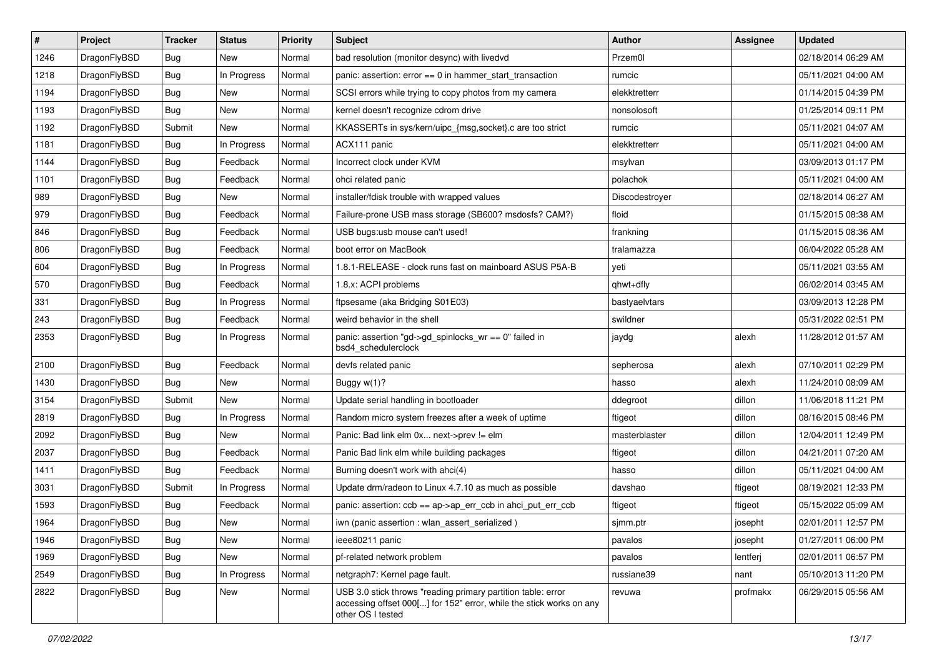| $\sharp$ | Project      | <b>Tracker</b> | <b>Status</b> | <b>Priority</b> | Subject                                                                                                                                                  | Author         | Assignee | <b>Updated</b>      |
|----------|--------------|----------------|---------------|-----------------|----------------------------------------------------------------------------------------------------------------------------------------------------------|----------------|----------|---------------------|
| 1246     | DragonFlyBSD | Bug            | New           | Normal          | bad resolution (monitor desync) with livedvd                                                                                                             | Przem0l        |          | 02/18/2014 06:29 AM |
| 1218     | DragonFlyBSD | Bug            | In Progress   | Normal          | panic: assertion: error == 0 in hammer_start_transaction                                                                                                 | rumcic         |          | 05/11/2021 04:00 AM |
| 1194     | DragonFlyBSD | <b>Bug</b>     | New           | Normal          | SCSI errors while trying to copy photos from my camera                                                                                                   | elekktretterr  |          | 01/14/2015 04:39 PM |
| 1193     | DragonFlyBSD | Bug            | New           | Normal          | kernel doesn't recognize cdrom drive                                                                                                                     | nonsolosoft    |          | 01/25/2014 09:11 PM |
| 1192     | DragonFlyBSD | Submit         | <b>New</b>    | Normal          | KKASSERTs in sys/kern/uipc_{msg,socket}.c are too strict                                                                                                 | rumcic         |          | 05/11/2021 04:07 AM |
| 1181     | DragonFlyBSD | Bug            | In Progress   | Normal          | ACX111 panic                                                                                                                                             | elekktretterr  |          | 05/11/2021 04:00 AM |
| 1144     | DragonFlyBSD | Bug            | Feedback      | Normal          | Incorrect clock under KVM                                                                                                                                | msylvan        |          | 03/09/2013 01:17 PM |
| 1101     | DragonFlyBSD | <b>Bug</b>     | Feedback      | Normal          | ohci related panic                                                                                                                                       | polachok       |          | 05/11/2021 04:00 AM |
| 989      | DragonFlyBSD | <b>Bug</b>     | <b>New</b>    | Normal          | installer/fdisk trouble with wrapped values                                                                                                              | Discodestroyer |          | 02/18/2014 06:27 AM |
| 979      | DragonFlyBSD | Bug            | Feedback      | Normal          | Failure-prone USB mass storage (SB600? msdosfs? CAM?)                                                                                                    | floid          |          | 01/15/2015 08:38 AM |
| 846      | DragonFlyBSD | Bug            | Feedback      | Normal          | USB bugs:usb mouse can't used!                                                                                                                           | frankning      |          | 01/15/2015 08:36 AM |
| 806      | DragonFlyBSD | Bug            | Feedback      | Normal          | boot error on MacBook                                                                                                                                    | tralamazza     |          | 06/04/2022 05:28 AM |
| 604      | DragonFlyBSD | Bug            | In Progress   | Normal          | 1.8.1-RELEASE - clock runs fast on mainboard ASUS P5A-B                                                                                                  | yeti           |          | 05/11/2021 03:55 AM |
| 570      | DragonFlyBSD | <b>Bug</b>     | Feedback      | Normal          | 1.8.x: ACPI problems                                                                                                                                     | qhwt+dfly      |          | 06/02/2014 03:45 AM |
| 331      | DragonFlyBSD | <b>Bug</b>     | In Progress   | Normal          | ftpsesame (aka Bridging S01E03)                                                                                                                          | bastyaelvtars  |          | 03/09/2013 12:28 PM |
| 243      | DragonFlyBSD | <b>Bug</b>     | Feedback      | Normal          | weird behavior in the shell                                                                                                                              | swildner       |          | 05/31/2022 02:51 PM |
| 2353     | DragonFlyBSD | Bug            | In Progress   | Normal          | panic: assertion "gd->gd_spinlocks_wr == 0" failed in<br>bsd4_schedulerclock                                                                             | jaydg          | alexh    | 11/28/2012 01:57 AM |
| 2100     | DragonFlyBSD | Bug            | Feedback      | Normal          | devfs related panic                                                                                                                                      | sepherosa      | alexh    | 07/10/2011 02:29 PM |
| 1430     | DragonFlyBSD | Bug            | <b>New</b>    | Normal          | Buggy w(1)?                                                                                                                                              | hasso          | alexh    | 11/24/2010 08:09 AM |
| 3154     | DragonFlyBSD | Submit         | New           | Normal          | Update serial handling in bootloader                                                                                                                     | ddegroot       | dillon   | 11/06/2018 11:21 PM |
| 2819     | DragonFlyBSD | <b>Bug</b>     | In Progress   | Normal          | Random micro system freezes after a week of uptime                                                                                                       | ftigeot        | dillon   | 08/16/2015 08:46 PM |
| 2092     | DragonFlyBSD | Bug            | New           | Normal          | Panic: Bad link elm 0x next->prev != elm                                                                                                                 | masterblaster  | dillon   | 12/04/2011 12:49 PM |
| 2037     | DragonFlyBSD | Bug            | Feedback      | Normal          | Panic Bad link elm while building packages                                                                                                               | ftigeot        | dillon   | 04/21/2011 07:20 AM |
| 1411     | DragonFlyBSD | Bug            | Feedback      | Normal          | Burning doesn't work with ahci(4)                                                                                                                        | hasso          | dillon   | 05/11/2021 04:00 AM |
| 3031     | DragonFlyBSD | Submit         | In Progress   | Normal          | Update drm/radeon to Linux 4.7.10 as much as possible                                                                                                    | davshao        | ftigeot  | 08/19/2021 12:33 PM |
| 1593     | DragonFlyBSD | Bug            | Feedback      | Normal          | panic: assertion: ccb == ap->ap_err_ccb in ahci_put_err_ccb                                                                                              | ftigeot        | ftigeot  | 05/15/2022 05:09 AM |
| 1964     | DragonFlyBSD | <b>Bug</b>     | New           | Normal          | iwn (panic assertion : wlan_assert_serialized)                                                                                                           | sjmm.ptr       | josepht  | 02/01/2011 12:57 PM |
| 1946     | DragonFlyBSD | <b>Bug</b>     | <b>New</b>    | Normal          | ieee80211 panic                                                                                                                                          | pavalos        | josepht  | 01/27/2011 06:00 PM |
| 1969     | DragonFlyBSD | Bug            | New           | Normal          | pf-related network problem                                                                                                                               | pavalos        | lentferj | 02/01/2011 06:57 PM |
| 2549     | DragonFlyBSD | Bug            | In Progress   | Normal          | netgraph7: Kernel page fault.                                                                                                                            | russiane39     | nant     | 05/10/2013 11:20 PM |
| 2822     | DragonFlyBSD | <b>Bug</b>     | New           | Normal          | USB 3.0 stick throws "reading primary partition table: error<br>accessing offset 000[] for 152" error, while the stick works on any<br>other OS I tested | revuwa         | profmakx | 06/29/2015 05:56 AM |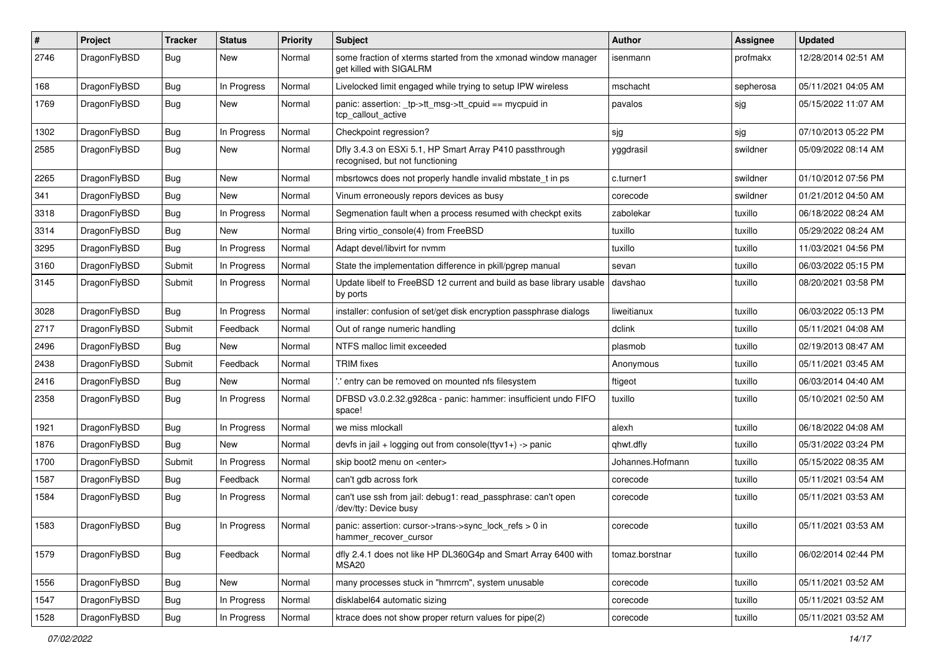| $\sharp$ | Project      | <b>Tracker</b> | <b>Status</b> | <b>Priority</b> | Subject                                                                                    | Author           | Assignee  | <b>Updated</b>      |
|----------|--------------|----------------|---------------|-----------------|--------------------------------------------------------------------------------------------|------------------|-----------|---------------------|
| 2746     | DragonFlyBSD | Bug            | New           | Normal          | some fraction of xterms started from the xmonad window manager<br>get killed with SIGALRM  | isenmann         | profmakx  | 12/28/2014 02:51 AM |
| 168      | DragonFlyBSD | Bug            | In Progress   | Normal          | Livelocked limit engaged while trying to setup IPW wireless                                | mschacht         | sepherosa | 05/11/2021 04:05 AM |
| 1769     | DragonFlyBSD | Bug            | New           | Normal          | panic: assertion: _tp->tt_msg->tt_cpuid == mycpuid in<br>tcp_callout_active                | pavalos          | sjg       | 05/15/2022 11:07 AM |
| 1302     | DragonFlyBSD | Bug            | In Progress   | Normal          | Checkpoint regression?                                                                     | sjg              | sjg       | 07/10/2013 05:22 PM |
| 2585     | DragonFlyBSD | Bug            | <b>New</b>    | Normal          | Dfly 3.4.3 on ESXi 5.1, HP Smart Array P410 passthrough<br>recognised, but not functioning | yggdrasil        | swildner  | 05/09/2022 08:14 AM |
| 2265     | DragonFlyBSD | Bug            | New           | Normal          | mbsrtowcs does not properly handle invalid mbstate t in ps                                 | c.turner1        | swildner  | 01/10/2012 07:56 PM |
| 341      | DragonFlyBSD | Bug            | <b>New</b>    | Normal          | Vinum erroneously repors devices as busy                                                   | corecode         | swildner  | 01/21/2012 04:50 AM |
| 3318     | DragonFlyBSD | Bug            | In Progress   | Normal          | Segmenation fault when a process resumed with checkpt exits                                | zabolekar        | tuxillo   | 06/18/2022 08:24 AM |
| 3314     | DragonFlyBSD | <b>Bug</b>     | New           | Normal          | Bring virtio console(4) from FreeBSD                                                       | tuxillo          | tuxillo   | 05/29/2022 08:24 AM |
| 3295     | DragonFlyBSD | Bug            | In Progress   | Normal          | Adapt devel/libvirt for nvmm                                                               | tuxillo          | tuxillo   | 11/03/2021 04:56 PM |
| 3160     | DragonFlyBSD | Submit         | In Progress   | Normal          | State the implementation difference in pkill/pgrep manual                                  | sevan            | tuxillo   | 06/03/2022 05:15 PM |
| 3145     | DragonFlyBSD | Submit         | In Progress   | Normal          | Update libelf to FreeBSD 12 current and build as base library usable<br>by ports           | davshao          | tuxillo   | 08/20/2021 03:58 PM |
| 3028     | DragonFlyBSD | Bug            | In Progress   | Normal          | installer: confusion of set/get disk encryption passphrase dialogs                         | liweitianux      | tuxillo   | 06/03/2022 05:13 PM |
| 2717     | DragonFlyBSD | Submit         | Feedback      | Normal          | Out of range numeric handling                                                              | dclink           | tuxillo   | 05/11/2021 04:08 AM |
| 2496     | DragonFlyBSD | <b>Bug</b>     | New           | Normal          | NTFS malloc limit exceeded                                                                 | plasmob          | tuxillo   | 02/19/2013 08:47 AM |
| 2438     | DragonFlyBSD | Submit         | Feedback      | Normal          | <b>TRIM</b> fixes                                                                          | Anonymous        | tuxillo   | 05/11/2021 03:45 AM |
| 2416     | DragonFlyBSD | Bug            | New           | Normal          | ".' entry can be removed on mounted nfs filesystem                                         | ftigeot          | tuxillo   | 06/03/2014 04:40 AM |
| 2358     | DragonFlyBSD | Bug            | In Progress   | Normal          | DFBSD v3.0.2.32.g928ca - panic: hammer: insufficient undo FIFO<br>space!                   | tuxillo          | tuxillo   | 05/10/2021 02:50 AM |
| 1921     | DragonFlyBSD | <b>Bug</b>     | In Progress   | Normal          | we miss mlockall                                                                           | alexh            | tuxillo   | 06/18/2022 04:08 AM |
| 1876     | DragonFlyBSD | Bug            | New           | Normal          | devfs in jail + logging out from console(ttyv1+) -> panic                                  | qhwt.dfly        | tuxillo   | 05/31/2022 03:24 PM |
| 1700     | DragonFlyBSD | Submit         | In Progress   | Normal          | skip boot2 menu on <enter></enter>                                                         | Johannes.Hofmann | tuxillo   | 05/15/2022 08:35 AM |
| 1587     | DragonFlyBSD | Bug            | Feedback      | Normal          | can't gdb across fork                                                                      | corecode         | tuxillo   | 05/11/2021 03:54 AM |
| 1584     | DragonFlyBSD | Bug            | In Progress   | Normal          | can't use ssh from jail: debug1: read_passphrase: can't open<br>/dev/tty: Device busy      | corecode         | tuxillo   | 05/11/2021 03:53 AM |
| 1583     | DragonFlyBSD | Bug            | In Progress   | Normal          | panic: assertion: cursor->trans->sync lock refs $> 0$ in<br>hammer recover cursor          | corecode         | tuxillo   | 05/11/2021 03:53 AM |
| 1579     | DragonFlyBSD | <b>Bug</b>     | Feedback      | Normal          | dfly 2.4.1 does not like HP DL360G4p and Smart Array 6400 with<br>MSA20                    | tomaz.borstnar   | tuxillo   | 06/02/2014 02:44 PM |
| 1556     | DragonFlyBSD | <b>Bug</b>     | New           | Normal          | many processes stuck in "hmrrcm", system unusable                                          | corecode         | tuxillo   | 05/11/2021 03:52 AM |
| 1547     | DragonFlyBSD | Bug            | In Progress   | Normal          | disklabel64 automatic sizing                                                               | corecode         | tuxillo   | 05/11/2021 03:52 AM |
| 1528     | DragonFlyBSD | <b>Bug</b>     | In Progress   | Normal          | ktrace does not show proper return values for pipe(2)                                      | corecode         | tuxillo   | 05/11/2021 03:52 AM |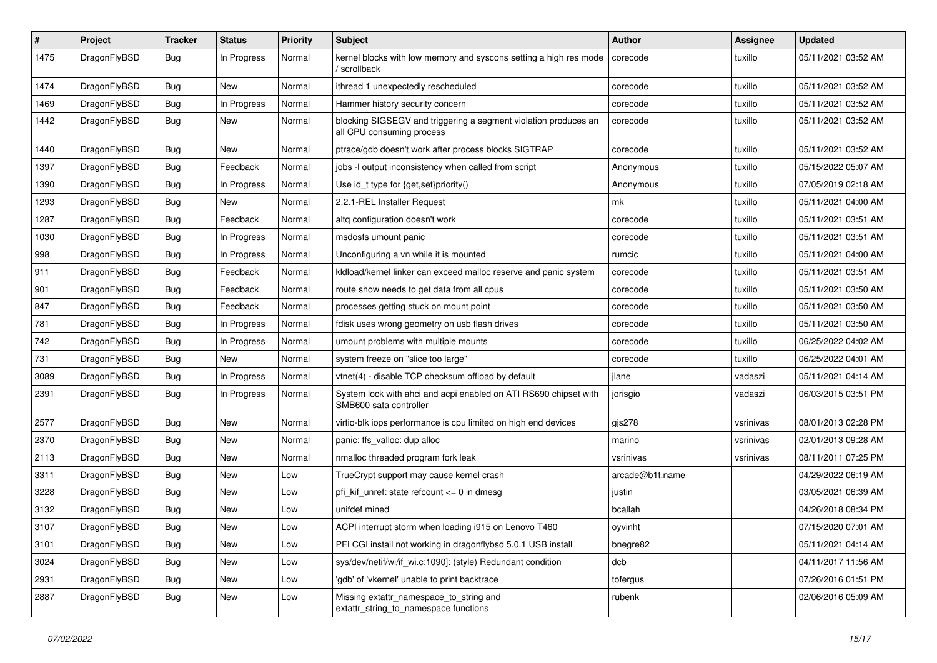| #    | Project      | <b>Tracker</b> | <b>Status</b> | <b>Priority</b> | Subject                                                                                      | Author          | Assignee  | <b>Updated</b>      |
|------|--------------|----------------|---------------|-----------------|----------------------------------------------------------------------------------------------|-----------------|-----------|---------------------|
| 1475 | DragonFlyBSD | Bug            | In Progress   | Normal          | kernel blocks with low memory and syscons setting a high res mode<br>/ scrollback            | corecode        | tuxillo   | 05/11/2021 03:52 AM |
| 1474 | DragonFlyBSD | Bug            | New           | Normal          | ithread 1 unexpectedly rescheduled                                                           | corecode        | tuxillo   | 05/11/2021 03:52 AM |
| 1469 | DragonFlyBSD | <b>Bug</b>     | In Progress   | Normal          | Hammer history security concern                                                              | corecode        | tuxillo   | 05/11/2021 03:52 AM |
| 1442 | DragonFlyBSD | Bug            | New           | Normal          | blocking SIGSEGV and triggering a segment violation produces an<br>all CPU consuming process | corecode        | tuxillo   | 05/11/2021 03:52 AM |
| 1440 | DragonFlyBSD | Bug            | New           | Normal          | ptrace/gdb doesn't work after process blocks SIGTRAP                                         | corecode        | tuxillo   | 05/11/2021 03:52 AM |
| 1397 | DragonFlyBSD | Bug            | Feedback      | Normal          | jobs -I output inconsistency when called from script                                         | Anonymous       | tuxillo   | 05/15/2022 05:07 AM |
| 1390 | DragonFlyBSD | <b>Bug</b>     | In Progress   | Normal          | Use id_t type for {get,set}priority()                                                        | Anonymous       | tuxillo   | 07/05/2019 02:18 AM |
| 1293 | DragonFlyBSD | Bug            | New           | Normal          | 2.2.1-REL Installer Request                                                                  | mk              | tuxillo   | 05/11/2021 04:00 AM |
| 1287 | DragonFlyBSD | Bug            | Feedback      | Normal          | altg configuration doesn't work                                                              | corecode        | tuxillo   | 05/11/2021 03:51 AM |
| 1030 | DragonFlyBSD | Bug            | In Progress   | Normal          | msdosfs umount panic                                                                         | corecode        | tuxillo   | 05/11/2021 03:51 AM |
| 998  | DragonFlyBSD | Bug            | In Progress   | Normal          | Unconfiguring a vn while it is mounted                                                       | rumcic          | tuxillo   | 05/11/2021 04:00 AM |
| 911  | DragonFlyBSD | Bug            | Feedback      | Normal          | kldload/kernel linker can exceed malloc reserve and panic system                             | corecode        | tuxillo   | 05/11/2021 03:51 AM |
| 901  | DragonFlyBSD | <b>Bug</b>     | Feedback      | Normal          | route show needs to get data from all cpus                                                   | corecode        | tuxillo   | 05/11/2021 03:50 AM |
| 847  | DragonFlyBSD | <b>Bug</b>     | Feedback      | Normal          | processes getting stuck on mount point                                                       | corecode        | tuxillo   | 05/11/2021 03:50 AM |
| 781  | DragonFlyBSD | Bug            | In Progress   | Normal          | fdisk uses wrong geometry on usb flash drives                                                | corecode        | tuxillo   | 05/11/2021 03:50 AM |
| 742  | DragonFlyBSD | <b>Bug</b>     | In Progress   | Normal          | umount problems with multiple mounts                                                         | corecode        | tuxillo   | 06/25/2022 04:02 AM |
| 731  | DragonFlyBSD | <b>Bug</b>     | New           | Normal          | system freeze on "slice too large"                                                           | corecode        | tuxillo   | 06/25/2022 04:01 AM |
| 3089 | DragonFlyBSD | <b>Bug</b>     | In Progress   | Normal          | vtnet(4) - disable TCP checksum offload by default                                           | jlane           | vadaszi   | 05/11/2021 04:14 AM |
| 2391 | DragonFlyBSD | <b>Bug</b>     | In Progress   | Normal          | System lock with ahci and acpi enabled on ATI RS690 chipset with<br>SMB600 sata controller   | jorisgio        | vadaszi   | 06/03/2015 03:51 PM |
| 2577 | DragonFlyBSD | Bug            | New           | Normal          | virtio-blk iops performance is cpu limited on high end devices                               | gjs278          | vsrinivas | 08/01/2013 02:28 PM |
| 2370 | DragonFlyBSD | Bug            | New           | Normal          | panic: ffs_valloc: dup alloc                                                                 | marino          | vsrinivas | 02/01/2013 09:28 AM |
| 2113 | DragonFlyBSD | <b>Bug</b>     | <b>New</b>    | Normal          | nmalloc threaded program fork leak                                                           | vsrinivas       | vsrinivas | 08/11/2011 07:25 PM |
| 3311 | DragonFlyBSD | Bug            | New           | Low             | TrueCrypt support may cause kernel crash                                                     | arcade@b1t.name |           | 04/29/2022 06:19 AM |
| 3228 | DragonFlyBSD | <b>Bug</b>     | <b>New</b>    | Low             | pfi_kif_unref: state refcount <= 0 in dmesg                                                  | justin          |           | 03/05/2021 06:39 AM |
| 3132 | DragonFlyBSD | Bug            | New           | Low             | unifdef mined                                                                                | bcallah         |           | 04/26/2018 08:34 PM |
| 3107 | DragonFlyBSD | Bug            | New           | Low             | ACPI interrupt storm when loading i915 on Lenovo T460                                        | oyvinht         |           | 07/15/2020 07:01 AM |
| 3101 | DragonFlyBSD | <b>Bug</b>     | <b>New</b>    | Low             | PFI CGI install not working in dragonflybsd 5.0.1 USB install                                | bnegre82        |           | 05/11/2021 04:14 AM |
| 3024 | DragonFlyBSD | <b>Bug</b>     | <b>New</b>    | Low             | sys/dev/netif/wi/if wi.c:1090]: (style) Redundant condition                                  | dcb             |           | 04/11/2017 11:56 AM |
| 2931 | DragonFlyBSD | <b>Bug</b>     | <b>New</b>    | Low             | 'gdb' of 'vkernel' unable to print backtrace                                                 | tofergus        |           | 07/26/2016 01:51 PM |
| 2887 | DragonFlyBSD | <b>Bug</b>     | New           | Low             | Missing extattr_namespace_to_string and<br>extattr_string_to_namespace functions             | rubenk          |           | 02/06/2016 05:09 AM |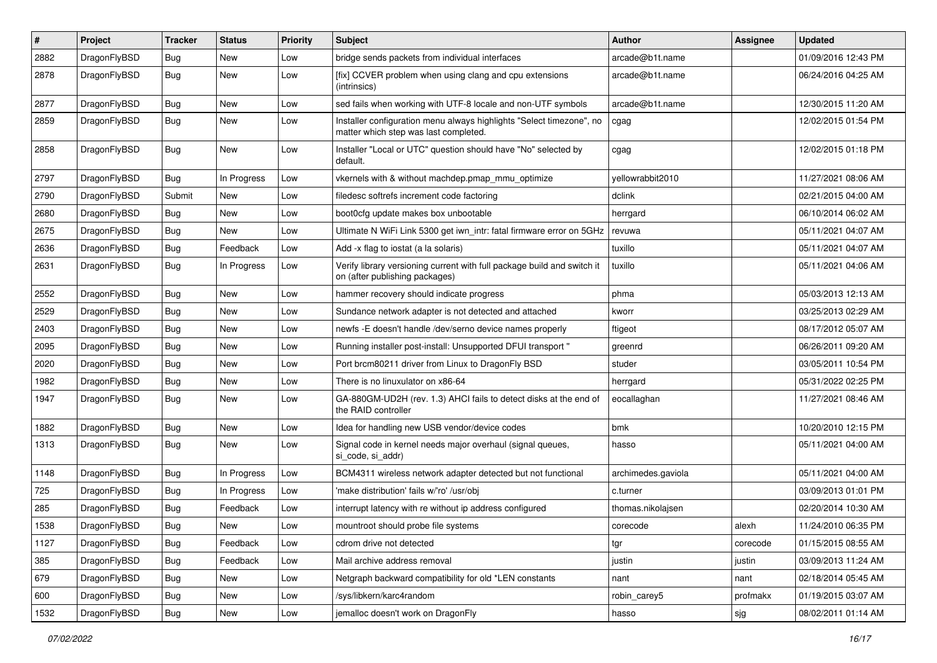| #    | Project      | <b>Tracker</b> | <b>Status</b> | <b>Priority</b> | Subject                                                                                                       | <b>Author</b>      | Assignee | <b>Updated</b>      |
|------|--------------|----------------|---------------|-----------------|---------------------------------------------------------------------------------------------------------------|--------------------|----------|---------------------|
| 2882 | DragonFlyBSD | <b>Bug</b>     | <b>New</b>    | Low             | bridge sends packets from individual interfaces                                                               | arcade@b1t.name    |          | 01/09/2016 12:43 PM |
| 2878 | DragonFlyBSD | <b>Bug</b>     | New           | Low             | [fix] CCVER problem when using clang and cpu extensions<br>(intrinsics)                                       | arcade@b1t.name    |          | 06/24/2016 04:25 AM |
| 2877 | DragonFlyBSD | Bug            | <b>New</b>    | Low             | sed fails when working with UTF-8 locale and non-UTF symbols                                                  | arcade@b1t.name    |          | 12/30/2015 11:20 AM |
| 2859 | DragonFlyBSD | Bug            | New           | Low             | Installer configuration menu always highlights "Select timezone", no<br>matter which step was last completed. | cgag               |          | 12/02/2015 01:54 PM |
| 2858 | DragonFlyBSD | Bug            | New           | Low             | Installer "Local or UTC" question should have "No" selected by<br>default.                                    | cgag               |          | 12/02/2015 01:18 PM |
| 2797 | DragonFlyBSD | Bug            | In Progress   | Low             | vkernels with & without machdep.pmap_mmu_optimize                                                             | yellowrabbit2010   |          | 11/27/2021 08:06 AM |
| 2790 | DragonFlyBSD | Submit         | <b>New</b>    | Low             | filedesc softrefs increment code factoring                                                                    | dclink             |          | 02/21/2015 04:00 AM |
| 2680 | DragonFlyBSD | <b>Bug</b>     | New           | Low             | boot0cfg update makes box unbootable                                                                          | herrgard           |          | 06/10/2014 06:02 AM |
| 2675 | DragonFlyBSD | <b>Bug</b>     | New           | Low             | Ultimate N WiFi Link 5300 get iwn_intr: fatal firmware error on 5GHz                                          | revuwa             |          | 05/11/2021 04:07 AM |
| 2636 | DragonFlyBSD | <b>Bug</b>     | Feedback      | Low             | Add -x flag to iostat (a la solaris)                                                                          | tuxillo            |          | 05/11/2021 04:07 AM |
| 2631 | DragonFlyBSD | Bug            | In Progress   | Low             | Verify library versioning current with full package build and switch it<br>on (after publishing packages)     | tuxillo            |          | 05/11/2021 04:06 AM |
| 2552 | DragonFlyBSD | Bug            | New           | Low             | hammer recovery should indicate progress                                                                      | phma               |          | 05/03/2013 12:13 AM |
| 2529 | DragonFlyBSD | <b>Bug</b>     | New           | Low             | Sundance network adapter is not detected and attached                                                         | kworr              |          | 03/25/2013 02:29 AM |
| 2403 | DragonFlyBSD | Bug            | <b>New</b>    | Low             | newfs -E doesn't handle /dev/serno device names properly                                                      | ftigeot            |          | 08/17/2012 05:07 AM |
| 2095 | DragonFlyBSD | <b>Bug</b>     | New           | Low             | Running installer post-install: Unsupported DFUI transport "                                                  | greenrd            |          | 06/26/2011 09:20 AM |
| 2020 | DragonFlyBSD | <b>Bug</b>     | New           | Low             | Port brcm80211 driver from Linux to DragonFly BSD                                                             | studer             |          | 03/05/2011 10:54 PM |
| 1982 | DragonFlyBSD | <b>Bug</b>     | <b>New</b>    | Low             | There is no linuxulator on x86-64                                                                             | herrgard           |          | 05/31/2022 02:25 PM |
| 1947 | DragonFlyBSD | <b>Bug</b>     | New           | Low             | GA-880GM-UD2H (rev. 1.3) AHCI fails to detect disks at the end of<br>the RAID controller                      | eocallaghan        |          | 11/27/2021 08:46 AM |
| 1882 | DragonFlyBSD | Bug            | New           | Low             | Idea for handling new USB vendor/device codes                                                                 | bmk                |          | 10/20/2010 12:15 PM |
| 1313 | DragonFlyBSD | <b>Bug</b>     | New           | Low             | Signal code in kernel needs major overhaul (signal queues,<br>si_code, si_addr)                               | hasso              |          | 05/11/2021 04:00 AM |
| 1148 | DragonFlyBSD | Bug            | In Progress   | Low             | BCM4311 wireless network adapter detected but not functional                                                  | archimedes.gaviola |          | 05/11/2021 04:00 AM |
| 725  | DragonFlyBSD | Bug            | In Progress   | Low             | 'make distribution' fails w/'ro' /usr/obj                                                                     | c.turner           |          | 03/09/2013 01:01 PM |
| 285  | DragonFlyBSD | Bug            | Feedback      | Low             | interrupt latency with re without ip address configured                                                       | thomas.nikolajsen  |          | 02/20/2014 10:30 AM |
| 1538 | DragonFlyBSD | Bug            | <b>New</b>    | Low             | mountroot should probe file systems                                                                           | corecode           | alexh    | 11/24/2010 06:35 PM |
| 1127 | DragonFlyBSD | <b>Bug</b>     | Feedback      | Low             | cdrom drive not detected                                                                                      | tgr                | corecode | 01/15/2015 08:55 AM |
| 385  | DragonFlyBSD | <b>Bug</b>     | Feedback      | Low             | Mail archive address removal                                                                                  | justin             | justin   | 03/09/2013 11:24 AM |
| 679  | DragonFlyBSD | Bug            | New           | Low             | Netgraph backward compatibility for old *LEN constants                                                        | nant               | nant     | 02/18/2014 05:45 AM |
| 600  | DragonFlyBSD | <b>Bug</b>     | New           | Low             | /sys/libkern/karc4random                                                                                      | robin_carey5       | profmakx | 01/19/2015 03:07 AM |
| 1532 | DragonFlyBSD | <b>Bug</b>     | New           | Low             | jemalloc doesn't work on DragonFly                                                                            | hasso              | sjg      | 08/02/2011 01:14 AM |